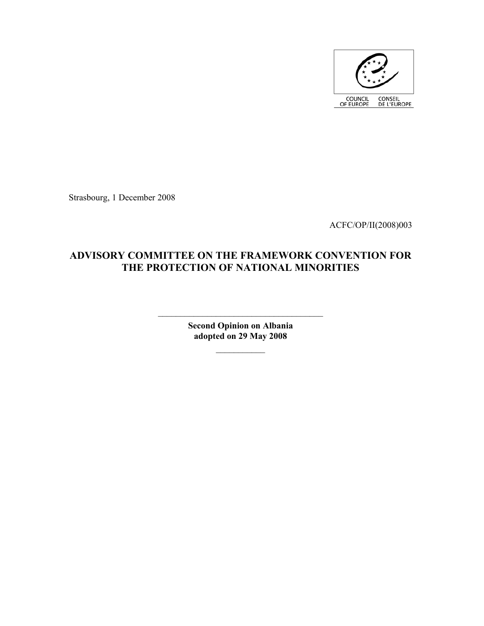

Strasbourg, 1 December 2008

ACFC/OP/II(2008)003

# **ADVISORY COMMITTEE ON THE FRAMEWORK CONVENTION FOR THE PROTECTION OF NATIONAL MINORITIES**

**Second Opinion on Albania adopted on 29 May 2008** 

 $\mathcal{L}_\text{max}$ 

 $\mathcal{L}_\text{max}$  , where  $\mathcal{L}_\text{max}$  is the set of  $\mathcal{L}_\text{max}$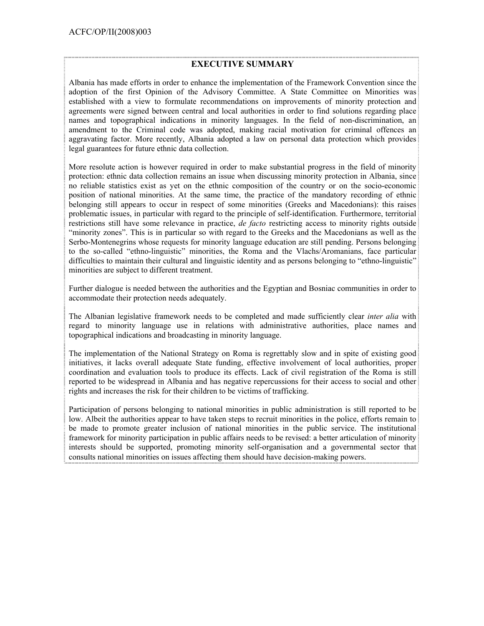#### **EXECUTIVE SUMMARY**

Albania has made efforts in order to enhance the implementation of the Framework Convention since the adoption of the first Opinion of the Advisory Committee. A State Committee on Minorities was established with a view to formulate recommendations on improvements of minority protection and agreements were signed between central and local authorities in order to find solutions regarding place names and topographical indications in minority languages. In the field of non-discrimination, an amendment to the Criminal code was adopted, making racial motivation for criminal offences an aggravating factor. More recently, Albania adopted a law on personal data protection which provides legal guarantees for future ethnic data collection.

More resolute action is however required in order to make substantial progress in the field of minority protection: ethnic data collection remains an issue when discussing minority protection in Albania, since no reliable statistics exist as yet on the ethnic composition of the country or on the socio-economic position of national minorities. At the same time, the practice of the mandatory recording of ethnic belonging still appears to occur in respect of some minorities (Greeks and Macedonians): this raises problematic issues, in particular with regard to the principle of self-identification. Furthermore, territorial restrictions still have some relevance in practice, *de facto* restricting access to minority rights outside "minority zones". This is in particular so with regard to the Greeks and the Macedonians as well as the Serbo-Montenegrins whose requests for minority language education are still pending. Persons belonging to the so-called "ethno-linguistic" minorities, the Roma and the Vlachs/Aromanians, face particular difficulties to maintain their cultural and linguistic identity and as persons belonging to "ethno-linguistic" minorities are subject to different treatment.

Further dialogue is needed between the authorities and the Egyptian and Bosniac communities in order to accommodate their protection needs adequately.

The Albanian legislative framework needs to be completed and made sufficiently clear *inter alia* with regard to minority language use in relations with administrative authorities, place names and topographical indications and broadcasting in minority language.

The implementation of the National Strategy on Roma is regrettably slow and in spite of existing good initiatives, it lacks overall adequate State funding, effective involvement of local authorities, proper coordination and evaluation tools to produce its effects. Lack of civil registration of the Roma is still reported to be widespread in Albania and has negative repercussions for their access to social and other rights and increases the risk for their children to be victims of trafficking.

Participation of persons belonging to national minorities in public administration is still reported to be low. Albeit the authorities appear to have taken steps to recruit minorities in the police, efforts remain to be made to promote greater inclusion of national minorities in the public service. The institutional framework for minority participation in public affairs needs to be revised: a better articulation of minority interests should be supported, promoting minority self-organisation and a governmental sector that consults national minorities on issues affecting them should have decision-making powers.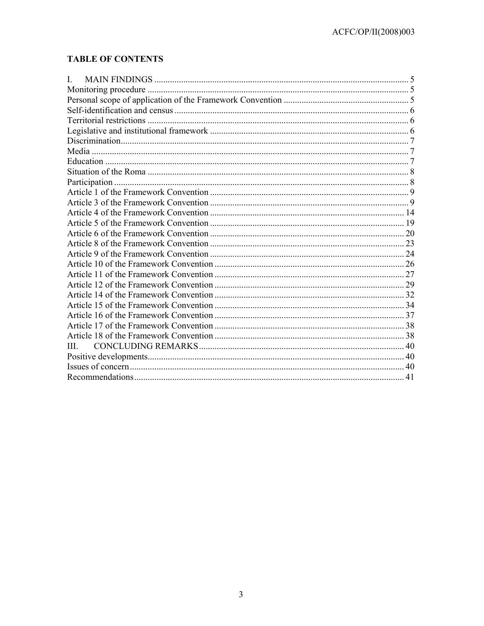# **TABLE OF CONTENTS**

| I.  |  |
|-----|--|
|     |  |
|     |  |
|     |  |
|     |  |
|     |  |
|     |  |
|     |  |
|     |  |
|     |  |
|     |  |
|     |  |
|     |  |
|     |  |
|     |  |
|     |  |
|     |  |
|     |  |
|     |  |
|     |  |
|     |  |
|     |  |
|     |  |
|     |  |
|     |  |
|     |  |
| III |  |
|     |  |
|     |  |
|     |  |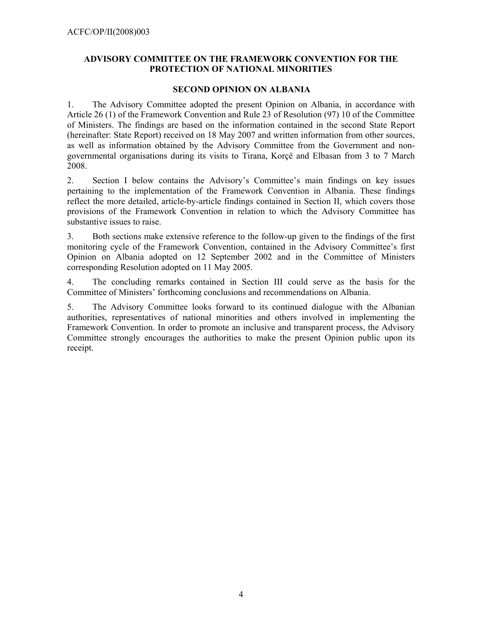### **ADVISORY COMMITTEE ON THE FRAMEWORK CONVENTION FOR THE PROTECTION OF NATIONAL MINORITIES**

#### **SECOND OPINION ON ALBANIA**

1. The Advisory Committee adopted the present Opinion on Albania, in accordance with Article 26 (1) of the Framework Convention and Rule 23 of Resolution (97) 10 of the Committee of Ministers. The findings are based on the information contained in the second State Report (hereinafter: State Report) received on 18 May 2007 and written information from other sources, as well as information obtained by the Advisory Committee from the Government and nongovernmental organisations during its visits to Tirana, Korçë and Elbasan from 3 to 7 March 2008.

2. Section I below contains the Advisory's Committee's main findings on key issues pertaining to the implementation of the Framework Convention in Albania. These findings reflect the more detailed, article-by-article findings contained in Section II, which covers those provisions of the Framework Convention in relation to which the Advisory Committee has substantive issues to raise.

3. Both sections make extensive reference to the follow-up given to the findings of the first monitoring cycle of the Framework Convention, contained in the Advisory Committee's first Opinion on Albania adopted on 12 September 2002 and in the Committee of Ministers corresponding Resolution adopted on 11 May 2005.

4. The concluding remarks contained in Section III could serve as the basis for the Committee of Ministers' forthcoming conclusions and recommendations on Albania.

5. The Advisory Committee looks forward to its continued dialogue with the Albanian authorities, representatives of national minorities and others involved in implementing the Framework Convention. In order to promote an inclusive and transparent process, the Advisory Committee strongly encourages the authorities to make the present Opinion public upon its receipt.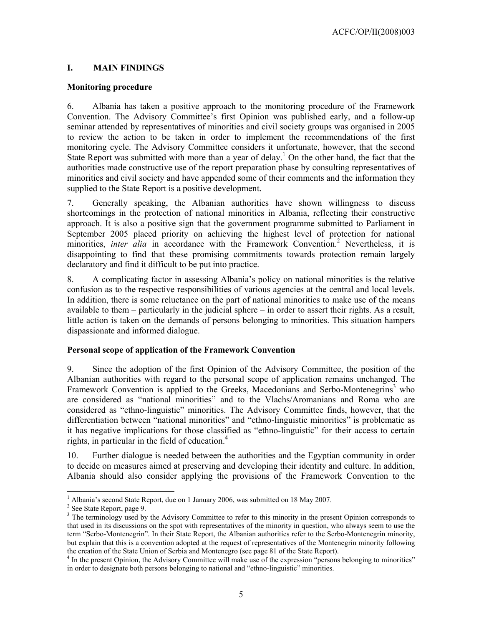### **I. MAIN FINDINGS**

#### **Monitoring procedure**

6. Albania has taken a positive approach to the monitoring procedure of the Framework Convention. The Advisory Committee's first Opinion was published early, and a follow-up seminar attended by representatives of minorities and civil society groups was organised in 2005 to review the action to be taken in order to implement the recommendations of the first monitoring cycle. The Advisory Committee considers it unfortunate, however, that the second State Report was submitted with more than a year of delay.<sup>1</sup> On the other hand, the fact that the authorities made constructive use of the report preparation phase by consulting representatives of minorities and civil society and have appended some of their comments and the information they supplied to the State Report is a positive development.

7. Generally speaking, the Albanian authorities have shown willingness to discuss shortcomings in the protection of national minorities in Albania, reflecting their constructive approach. It is also a positive sign that the government programme submitted to Parliament in September 2005 placed priority on achieving the highest level of protection for national minorities, *inter alia* in accordance with the Framework Convention.<sup>2</sup> Nevertheless, it is disappointing to find that these promising commitments towards protection remain largely declaratory and find it difficult to be put into practice.

8. A complicating factor in assessing Albania's policy on national minorities is the relative confusion as to the respective responsibilities of various agencies at the central and local levels. In addition, there is some reluctance on the part of national minorities to make use of the means available to them – particularly in the judicial sphere – in order to assert their rights. As a result, little action is taken on the demands of persons belonging to minorities. This situation hampers dispassionate and informed dialogue.

### **Personal scope of application of the Framework Convention**

9. Since the adoption of the first Opinion of the Advisory Committee, the position of the Albanian authorities with regard to the personal scope of application remains unchanged. The Framework Convention is applied to the Greeks, Macedonians and Serbo-Montenegrins<sup>3</sup> who are considered as "national minorities" and to the Vlachs/Aromanians and Roma who are considered as "ethno-linguistic" minorities. The Advisory Committee finds, however, that the differentiation between "national minorities" and "ethno-linguistic minorities" is problematic as it has negative implications for those classified as "ethno-linguistic" for their access to certain rights, in particular in the field of education. $4$ 

10. Further dialogue is needed between the authorities and the Egyptian community in order to decide on measures aimed at preserving and developing their identity and culture. In addition, Albania should also consider applying the provisions of the Framework Convention to the

 $\overline{a}$ 

<sup>&</sup>lt;sup>1</sup> Albania's second State Report, due on 1 January 2006, was submitted on 18 May 2007.

<sup>&</sup>lt;sup>2</sup> See State Report, page 9.

<sup>&</sup>lt;sup>3</sup> The terminology used by the Advisory Committee to refer to this minority in the present Opinion corresponds to that used in its discussions on the spot with representatives of the minority in question, who always seem to use the term "Serbo-Montenegrin". In their State Report, the Albanian authorities refer to the Serbo-Montenegrin minority, but explain that this is a convention adopted at the request of representatives of the Montenegrin minority following the creation of the State Union of Serbia and Montenegro (see page 81 of the State Report).

<sup>&</sup>lt;sup>4</sup> In the present Opinion, the Advisory Committee will make use of the expression "persons belonging to minorities" in order to designate both persons belonging to national and "ethno-linguistic" minorities.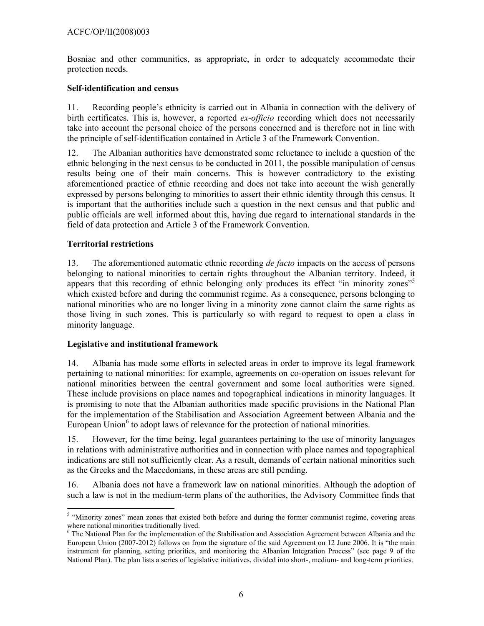Bosniac and other communities, as appropriate, in order to adequately accommodate their protection needs.

### **Self-identification and census**

11. Recording people's ethnicity is carried out in Albania in connection with the delivery of birth certificates. This is, however, a reported *ex-officio* recording which does not necessarily take into account the personal choice of the persons concerned and is therefore not in line with the principle of self-identification contained in Article 3 of the Framework Convention.

12. The Albanian authorities have demonstrated some reluctance to include a question of the ethnic belonging in the next census to be conducted in 2011, the possible manipulation of census results being one of their main concerns. This is however contradictory to the existing aforementioned practice of ethnic recording and does not take into account the wish generally expressed by persons belonging to minorities to assert their ethnic identity through this census. It is important that the authorities include such a question in the next census and that public and public officials are well informed about this, having due regard to international standards in the field of data protection and Article 3 of the Framework Convention.

### **Territorial restrictions**

13. The aforementioned automatic ethnic recording *de facto* impacts on the access of persons belonging to national minorities to certain rights throughout the Albanian territory. Indeed, it appears that this recording of ethnic belonging only produces its effect "in minority zones"<sup>5</sup> which existed before and during the communist regime. As a consequence, persons belonging to national minorities who are no longer living in a minority zone cannot claim the same rights as those living in such zones. This is particularly so with regard to request to open a class in minority language.

### **Legislative and institutional framework**

14. Albania has made some efforts in selected areas in order to improve its legal framework pertaining to national minorities: for example, agreements on co-operation on issues relevant for national minorities between the central government and some local authorities were signed. These include provisions on place names and topographical indications in minority languages. It is promising to note that the Albanian authorities made specific provisions in the National Plan for the implementation of the Stabilisation and Association Agreement between Albania and the European Union<sup>6</sup> to adopt laws of relevance for the protection of national minorities.

15. However, for the time being, legal guarantees pertaining to the use of minority languages in relations with administrative authorities and in connection with place names and topographical indications are still not sufficiently clear. As a result, demands of certain national minorities such as the Greeks and the Macedonians, in these areas are still pending.

16. Albania does not have a framework law on national minorities. Although the adoption of such a law is not in the medium-term plans of the authorities, the Advisory Committee finds that

<sup>&</sup>lt;sup>5</sup> "Minority zones" mean zones that existed both before and during the former communist regime, covering areas where national minorities traditionally lived.

<sup>&</sup>lt;sup>6</sup> The National Plan for the implementation of the Stabilisation and Association Agreement between Albania and the European Union (2007-2012) follows on from the signature of the said Agreement on 12 June 2006. It is "the main instrument for planning, setting priorities, and monitoring the Albanian Integration Process" (see page 9 of the National Plan). The plan lists a series of legislative initiatives, divided into short-, medium- and long-term priorities.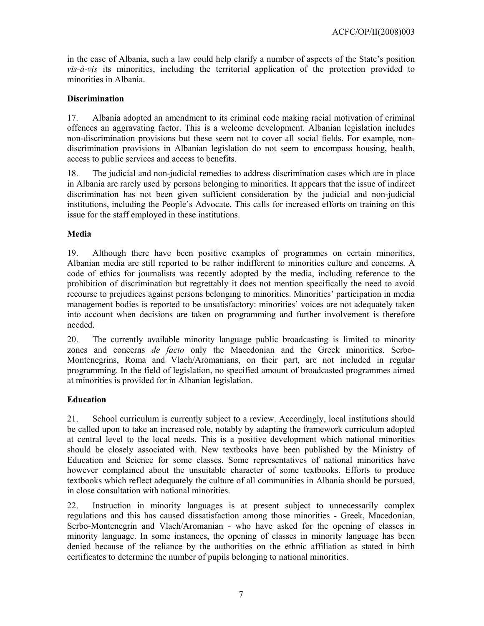in the case of Albania, such a law could help clarify a number of aspects of the State's position *vis-à-vis* its minorities, including the territorial application of the protection provided to minorities in Albania.

### **Discrimination**

17. Albania adopted an amendment to its criminal code making racial motivation of criminal offences an aggravating factor. This is a welcome development. Albanian legislation includes non-discrimination provisions but these seem not to cover all social fields. For example, nondiscrimination provisions in Albanian legislation do not seem to encompass housing, health, access to public services and access to benefits.

18. The judicial and non-judicial remedies to address discrimination cases which are in place in Albania are rarely used by persons belonging to minorities. It appears that the issue of indirect discrimination has not been given sufficient consideration by the judicial and non-judicial institutions, including the People's Advocate. This calls for increased efforts on training on this issue for the staff employed in these institutions.

### **Media**

19. Although there have been positive examples of programmes on certain minorities, Albanian media are still reported to be rather indifferent to minorities culture and concerns. A code of ethics for journalists was recently adopted by the media, including reference to the prohibition of discrimination but regrettably it does not mention specifically the need to avoid recourse to prejudices against persons belonging to minorities. Minorities' participation in media management bodies is reported to be unsatisfactory: minorities' voices are not adequately taken into account when decisions are taken on programming and further involvement is therefore needed.

20. The currently available minority language public broadcasting is limited to minority zones and concerns *de facto* only the Macedonian and the Greek minorities. Serbo-Montenegrins, Roma and Vlach/Aromanians, on their part, are not included in regular programming. In the field of legislation, no specified amount of broadcasted programmes aimed at minorities is provided for in Albanian legislation.

### **Education**

21. School curriculum is currently subject to a review. Accordingly, local institutions should be called upon to take an increased role, notably by adapting the framework curriculum adopted at central level to the local needs. This is a positive development which national minorities should be closely associated with. New textbooks have been published by the Ministry of Education and Science for some classes. Some representatives of national minorities have however complained about the unsuitable character of some textbooks. Efforts to produce textbooks which reflect adequately the culture of all communities in Albania should be pursued, in close consultation with national minorities.

22. Instruction in minority languages is at present subject to unnecessarily complex regulations and this has caused dissatisfaction among those minorities - Greek, Macedonian, Serbo-Montenegrin and Vlach/Aromanian - who have asked for the opening of classes in minority language. In some instances, the opening of classes in minority language has been denied because of the reliance by the authorities on the ethnic affiliation as stated in birth certificates to determine the number of pupils belonging to national minorities.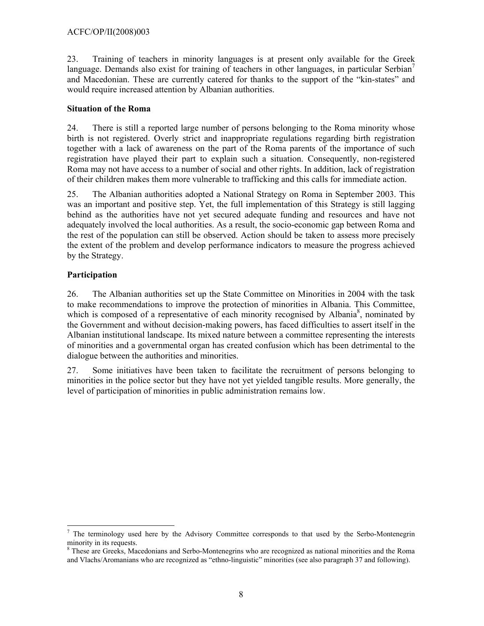23. Training of teachers in minority languages is at present only available for the Greek language. Demands also exist for training of teachers in other languages, in particular Serbian<sup>7</sup> and Macedonian. These are currently catered for thanks to the support of the "kin-states" and would require increased attention by Albanian authorities.

## **Situation of the Roma**

24. There is still a reported large number of persons belonging to the Roma minority whose birth is not registered. Overly strict and inappropriate regulations regarding birth registration together with a lack of awareness on the part of the Roma parents of the importance of such registration have played their part to explain such a situation. Consequently, non-registered Roma may not have access to a number of social and other rights. In addition, lack of registration of their children makes them more vulnerable to trafficking and this calls for immediate action.

25. The Albanian authorities adopted a National Strategy on Roma in September 2003. This was an important and positive step. Yet, the full implementation of this Strategy is still lagging behind as the authorities have not yet secured adequate funding and resources and have not adequately involved the local authorities. As a result, the socio-economic gap between Roma and the rest of the population can still be observed. Action should be taken to assess more precisely the extent of the problem and develop performance indicators to measure the progress achieved by the Strategy.

## **Participation**

26. The Albanian authorities set up the State Committee on Minorities in 2004 with the task to make recommendations to improve the protection of minorities in Albania. This Committee, which is composed of a representative of each minority recognised by Albania<sup>8</sup>, nominated by the Government and without decision-making powers, has faced difficulties to assert itself in the Albanian institutional landscape. Its mixed nature between a committee representing the interests of minorities and a governmental organ has created confusion which has been detrimental to the dialogue between the authorities and minorities.

27. Some initiatives have been taken to facilitate the recruitment of persons belonging to minorities in the police sector but they have not yet yielded tangible results. More generally, the level of participation of minorities in public administration remains low.

 $\overline{a}$  $<sup>7</sup>$  The terminology used here by the Advisory Committee corresponds to that used by the Serbo-Montenegrin</sup> minority in its requests.

<sup>&</sup>lt;sup>8</sup> These are Greeks, Macedonians and Serbo-Montenegrins who are recognized as national minorities and the Roma and Vlachs/Aromanians who are recognized as "ethno-linguistic" minorities (see also paragraph 37 and following).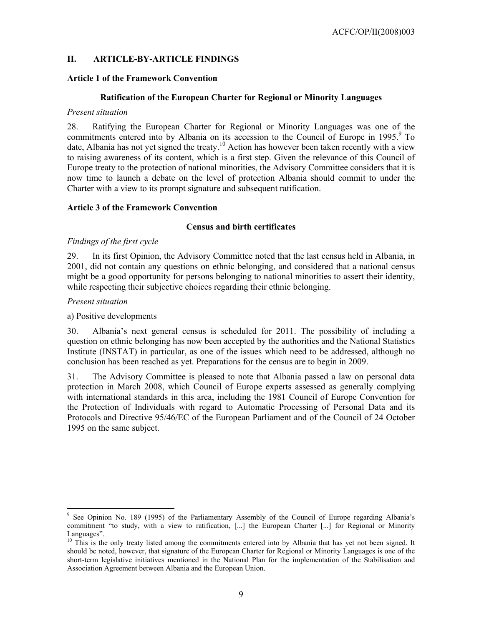### **II. ARTICLE-BY-ARTICLE FINDINGS**

#### **Article 1 of the Framework Convention**

#### **Ratification of the European Charter for Regional or Minority Languages**

#### *Present situation*

28. Ratifying the European Charter for Regional or Minority Languages was one of the commitments entered into by Albania on its accession to the Council of Europe in 1995.<sup>9</sup> To date, Albania has not yet signed the treaty.<sup>10</sup> Action has however been taken recently with a view to raising awareness of its content, which is a first step. Given the relevance of this Council of Europe treaty to the protection of national minorities, the Advisory Committee considers that it is now time to launch a debate on the level of protection Albania should commit to under the Charter with a view to its prompt signature and subsequent ratification.

#### **Article 3 of the Framework Convention**

#### **Census and birth certificates**

#### *Findings of the first cycle*

29. In its first Opinion, the Advisory Committee noted that the last census held in Albania, in 2001, did not contain any questions on ethnic belonging, and considered that a national census might be a good opportunity for persons belonging to national minorities to assert their identity, while respecting their subjective choices regarding their ethnic belonging.

#### *Present situation*

#### a) Positive developments

30. Albania's next general census is scheduled for 2011. The possibility of including a question on ethnic belonging has now been accepted by the authorities and the National Statistics Institute (INSTAT) in particular, as one of the issues which need to be addressed, although no conclusion has been reached as yet. Preparations for the census are to begin in 2009.

31. The Advisory Committee is pleased to note that Albania passed a law on personal data protection in March 2008, which Council of Europe experts assessed as generally complying with international standards in this area, including the 1981 Council of Europe Convention for the Protection of Individuals with regard to Automatic Processing of Personal Data and its Protocols and Directive 95/46/EC of the European Parliament and of the Council of 24 October 1995 on the same subject.

<sup>9</sup> See Opinion No. 189 (1995) of the Parliamentary Assembly of the Council of Europe regarding Albania's commitment "to study, with a view to ratification, [...] the European Charter [...] for Regional or Minority Languages".

<sup>&</sup>lt;sup>10</sup> This is the only treaty listed among the commitments entered into by Albania that has yet not been signed. It should be noted, however, that signature of the European Charter for Regional or Minority Languages is one of the short-term legislative initiatives mentioned in the National Plan for the implementation of the Stabilisation and Association Agreement between Albania and the European Union.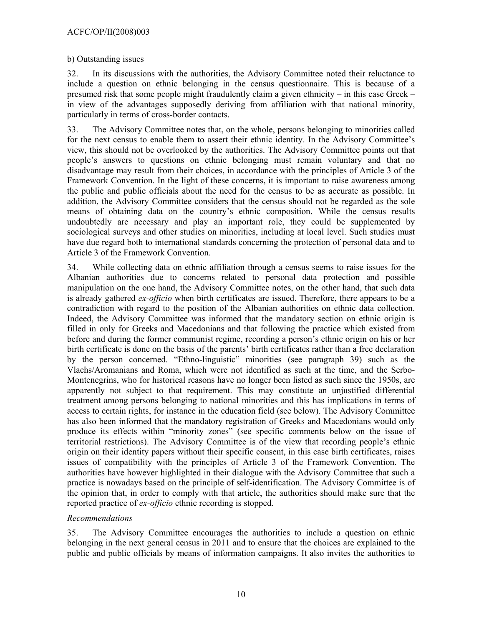#### b) Outstanding issues

32. In its discussions with the authorities, the Advisory Committee noted their reluctance to include a question on ethnic belonging in the census questionnaire. This is because of a presumed risk that some people might fraudulently claim a given ethnicity – in this case Greek – in view of the advantages supposedly deriving from affiliation with that national minority, particularly in terms of cross-border contacts.

33. The Advisory Committee notes that, on the whole, persons belonging to minorities called for the next census to enable them to assert their ethnic identity. In the Advisory Committee's view, this should not be overlooked by the authorities. The Advisory Committee points out that people's answers to questions on ethnic belonging must remain voluntary and that no disadvantage may result from their choices, in accordance with the principles of Article 3 of the Framework Convention. In the light of these concerns, it is important to raise awareness among the public and public officials about the need for the census to be as accurate as possible. In addition, the Advisory Committee considers that the census should not be regarded as the sole means of obtaining data on the country's ethnic composition. While the census results undoubtedly are necessary and play an important role, they could be supplemented by sociological surveys and other studies on minorities, including at local level. Such studies must have due regard both to international standards concerning the protection of personal data and to Article 3 of the Framework Convention.

34. While collecting data on ethnic affiliation through a census seems to raise issues for the Albanian authorities due to concerns related to personal data protection and possible manipulation on the one hand, the Advisory Committee notes, on the other hand, that such data is already gathered *ex-officio* when birth certificates are issued. Therefore, there appears to be a contradiction with regard to the position of the Albanian authorities on ethnic data collection. Indeed, the Advisory Committee was informed that the mandatory section on ethnic origin is filled in only for Greeks and Macedonians and that following the practice which existed from before and during the former communist regime, recording a person's ethnic origin on his or her birth certificate is done on the basis of the parents' birth certificates rather than a free declaration by the person concerned. "Ethno-linguistic" minorities (see paragraph 39) such as the Vlachs/Aromanians and Roma, which were not identified as such at the time, and the Serbo-Montenegrins, who for historical reasons have no longer been listed as such since the 1950s, are apparently not subject to that requirement. This may constitute an unjustified differential treatment among persons belonging to national minorities and this has implications in terms of access to certain rights, for instance in the education field (see below). The Advisory Committee has also been informed that the mandatory registration of Greeks and Macedonians would only produce its effects within "minority zones" (see specific comments below on the issue of territorial restrictions). The Advisory Committee is of the view that recording people's ethnic origin on their identity papers without their specific consent, in this case birth certificates, raises issues of compatibility with the principles of Article 3 of the Framework Convention. The authorities have however highlighted in their dialogue with the Advisory Committee that such a practice is nowadays based on the principle of self-identification. The Advisory Committee is of the opinion that, in order to comply with that article, the authorities should make sure that the reported practice of *ex-officio* ethnic recording is stopped.

### *Recommendations*

35. The Advisory Committee encourages the authorities to include a question on ethnic belonging in the next general census in 2011 and to ensure that the choices are explained to the public and public officials by means of information campaigns. It also invites the authorities to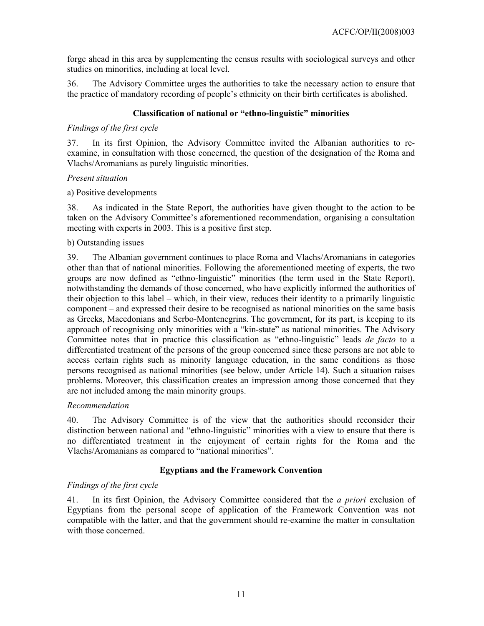forge ahead in this area by supplementing the census results with sociological surveys and other studies on minorities, including at local level.

36. The Advisory Committee urges the authorities to take the necessary action to ensure that the practice of mandatory recording of people's ethnicity on their birth certificates is abolished.

### **Classification of national or "ethno-linguistic" minorities**

#### *Findings of the first cycle*

37. In its first Opinion, the Advisory Committee invited the Albanian authorities to reexamine, in consultation with those concerned, the question of the designation of the Roma and Vlachs/Aromanians as purely linguistic minorities.

#### *Present situation*

a) Positive developments

38. As indicated in the State Report, the authorities have given thought to the action to be taken on the Advisory Committee's aforementioned recommendation, organising a consultation meeting with experts in 2003. This is a positive first step.

#### b) Outstanding issues

39. The Albanian government continues to place Roma and Vlachs/Aromanians in categories other than that of national minorities. Following the aforementioned meeting of experts, the two groups are now defined as "ethno-linguistic" minorities (the term used in the State Report), notwithstanding the demands of those concerned, who have explicitly informed the authorities of their objection to this label – which, in their view, reduces their identity to a primarily linguistic component – and expressed their desire to be recognised as national minorities on the same basis as Greeks, Macedonians and Serbo-Montenegrins. The government, for its part, is keeping to its approach of recognising only minorities with a "kin-state" as national minorities. The Advisory Committee notes that in practice this classification as "ethno-linguistic" leads *de facto* to a differentiated treatment of the persons of the group concerned since these persons are not able to access certain rights such as minority language education, in the same conditions as those persons recognised as national minorities (see below, under Article 14). Such a situation raises problems. Moreover, this classification creates an impression among those concerned that they are not included among the main minority groups.

### *Recommendation*

40. The Advisory Committee is of the view that the authorities should reconsider their distinction between national and "ethno-linguistic" minorities with a view to ensure that there is no differentiated treatment in the enjoyment of certain rights for the Roma and the Vlachs/Aromanians as compared to "national minorities".

### **Egyptians and the Framework Convention**

### *Findings of the first cycle*

41. In its first Opinion, the Advisory Committee considered that the *a priori* exclusion of Egyptians from the personal scope of application of the Framework Convention was not compatible with the latter, and that the government should re-examine the matter in consultation with those concerned.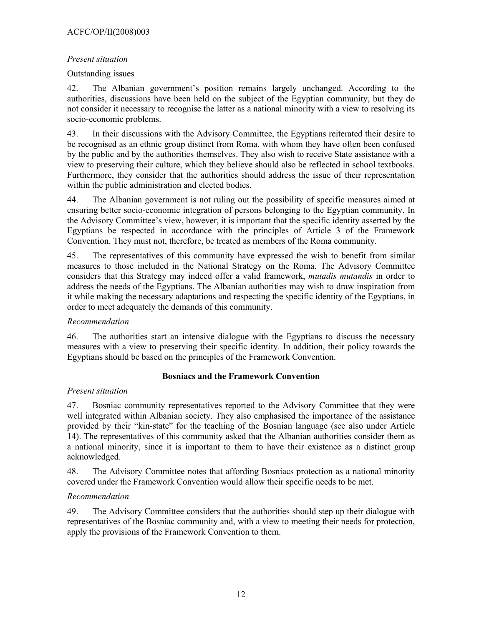### *Present situation*

### Outstanding issues

42. The Albanian government's position remains largely unchanged. According to the authorities, discussions have been held on the subject of the Egyptian community, but they do not consider it necessary to recognise the latter as a national minority with a view to resolving its socio-economic problems.

43. In their discussions with the Advisory Committee, the Egyptians reiterated their desire to be recognised as an ethnic group distinct from Roma, with whom they have often been confused by the public and by the authorities themselves. They also wish to receive State assistance with a view to preserving their culture, which they believe should also be reflected in school textbooks. Furthermore, they consider that the authorities should address the issue of their representation within the public administration and elected bodies.

44. The Albanian government is not ruling out the possibility of specific measures aimed at ensuring better socio-economic integration of persons belonging to the Egyptian community. In the Advisory Committee's view, however, it is important that the specific identity asserted by the Egyptians be respected in accordance with the principles of Article 3 of the Framework Convention. They must not, therefore, be treated as members of the Roma community.

45. The representatives of this community have expressed the wish to benefit from similar measures to those included in the National Strategy on the Roma. The Advisory Committee considers that this Strategy may indeed offer a valid framework, *mutadis mutandis* in order to address the needs of the Egyptians. The Albanian authorities may wish to draw inspiration from it while making the necessary adaptations and respecting the specific identity of the Egyptians, in order to meet adequately the demands of this community.

## *Recommendation*

46. The authorities start an intensive dialogue with the Egyptians to discuss the necessary measures with a view to preserving their specific identity. In addition, their policy towards the Egyptians should be based on the principles of the Framework Convention.

## **Bosniacs and the Framework Convention**

### *Present situation*

47. Bosniac community representatives reported to the Advisory Committee that they were well integrated within Albanian society. They also emphasised the importance of the assistance provided by their "kin-state" for the teaching of the Bosnian language (see also under Article 14). The representatives of this community asked that the Albanian authorities consider them as a national minority, since it is important to them to have their existence as a distinct group acknowledged.

48. The Advisory Committee notes that affording Bosniacs protection as a national minority covered under the Framework Convention would allow their specific needs to be met.

### *Recommendation*

49. The Advisory Committee considers that the authorities should step up their dialogue with representatives of the Bosniac community and, with a view to meeting their needs for protection, apply the provisions of the Framework Convention to them.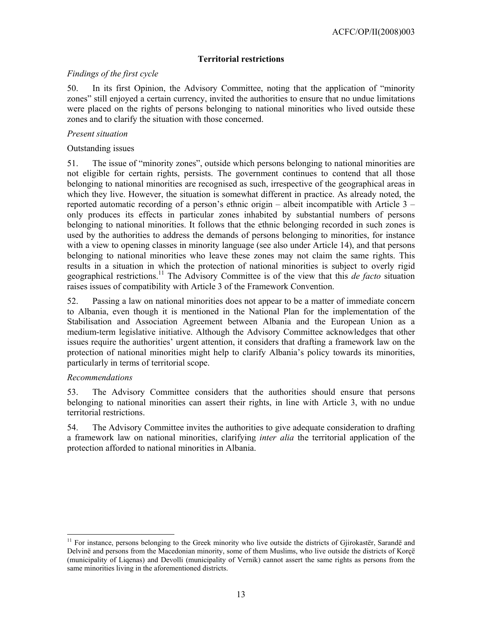## **Territorial restrictions**

### *Findings of the first cycle*

50. In its first Opinion, the Advisory Committee, noting that the application of "minority zones" still enjoyed a certain currency, invited the authorities to ensure that no undue limitations were placed on the rights of persons belonging to national minorities who lived outside these zones and to clarify the situation with those concerned.

### *Present situation*

### Outstanding issues

51. The issue of "minority zones", outside which persons belonging to national minorities are not eligible for certain rights, persists. The government continues to contend that all those belonging to national minorities are recognised as such, irrespective of the geographical areas in which they live. However, the situation is somewhat different in practice. As already noted, the reported automatic recording of a person's ethnic origin – albeit incompatible with Article 3 – only produces its effects in particular zones inhabited by substantial numbers of persons belonging to national minorities. It follows that the ethnic belonging recorded in such zones is used by the authorities to address the demands of persons belonging to minorities, for instance with a view to opening classes in minority language (see also under Article 14), and that persons belonging to national minorities who leave these zones may not claim the same rights. This results in a situation in which the protection of national minorities is subject to overly rigid geographical restrictions.11 The Advisory Committee is of the view that this *de facto* situation raises issues of compatibility with Article 3 of the Framework Convention.

52. Passing a law on national minorities does not appear to be a matter of immediate concern to Albania, even though it is mentioned in the National Plan for the implementation of the Stabilisation and Association Agreement between Albania and the European Union as a medium-term legislative initiative. Although the Advisory Committee acknowledges that other issues require the authorities' urgent attention, it considers that drafting a framework law on the protection of national minorities might help to clarify Albania's policy towards its minorities, particularly in terms of territorial scope.

### *Recommendations*

 $\overline{a}$ 

53. The Advisory Committee considers that the authorities should ensure that persons belonging to national minorities can assert their rights, in line with Article 3, with no undue territorial restrictions.

54. The Advisory Committee invites the authorities to give adequate consideration to drafting a framework law on national minorities, clarifying *inter alia* the territorial application of the protection afforded to national minorities in Albania.

<sup>&</sup>lt;sup>11</sup> For instance, persons belonging to the Greek minority who live outside the districts of Gjirokastër, Sarandë and Delvinë and persons from the Macedonian minority, some of them Muslims, who live outside the districts of Korçë (municipality of Liqenas) and Devolli (municipality of Vernik) cannot assert the same rights as persons from the same minorities living in the aforementioned districts.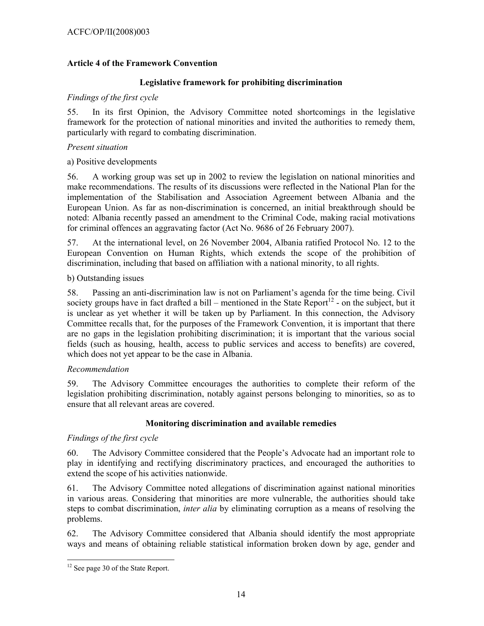### **Article 4 of the Framework Convention**

### **Legislative framework for prohibiting discrimination**

#### *Findings of the first cycle*

55. In its first Opinion, the Advisory Committee noted shortcomings in the legislative framework for the protection of national minorities and invited the authorities to remedy them, particularly with regard to combating discrimination.

#### *Present situation*

a) Positive developments

56. A working group was set up in 2002 to review the legislation on national minorities and make recommendations. The results of its discussions were reflected in the National Plan for the implementation of the Stabilisation and Association Agreement between Albania and the European Union. As far as non-discrimination is concerned, an initial breakthrough should be noted: Albania recently passed an amendment to the Criminal Code, making racial motivations for criminal offences an aggravating factor (Act No. 9686 of 26 February 2007).

57. At the international level, on 26 November 2004, Albania ratified Protocol No. 12 to the European Convention on Human Rights, which extends the scope of the prohibition of discrimination, including that based on affiliation with a national minority, to all rights.

### b) Outstanding issues

58. Passing an anti-discrimination law is not on Parliament's agenda for the time being. Civil society groups have in fact drafted a bill – mentioned in the State Report<sup>12</sup> - on the subject, but it is unclear as yet whether it will be taken up by Parliament. In this connection, the Advisory Committee recalls that, for the purposes of the Framework Convention, it is important that there are no gaps in the legislation prohibiting discrimination; it is important that the various social fields (such as housing, health, access to public services and access to benefits) are covered, which does not yet appear to be the case in Albania.

### *Recommendation*

59. The Advisory Committee encourages the authorities to complete their reform of the legislation prohibiting discrimination, notably against persons belonging to minorities, so as to ensure that all relevant areas are covered.

### **Monitoring discrimination and available remedies**

### *Findings of the first cycle*

60. The Advisory Committee considered that the People's Advocate had an important role to play in identifying and rectifying discriminatory practices, and encouraged the authorities to extend the scope of his activities nationwide.

61. The Advisory Committee noted allegations of discrimination against national minorities in various areas. Considering that minorities are more vulnerable, the authorities should take steps to combat discrimination, *inter alia* by eliminating corruption as a means of resolving the problems.

62. The Advisory Committee considered that Albania should identify the most appropriate ways and means of obtaining reliable statistical information broken down by age, gender and

 $\overline{a}$ <sup>12</sup> See page 30 of the State Report.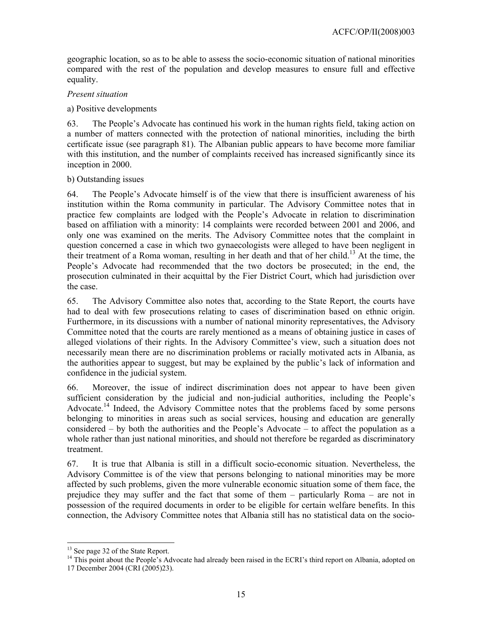geographic location, so as to be able to assess the socio-economic situation of national minorities compared with the rest of the population and develop measures to ensure full and effective equality.

### *Present situation*

### a) Positive developments

63. The People's Advocate has continued his work in the human rights field, taking action on a number of matters connected with the protection of national minorities, including the birth certificate issue (see paragraph 81). The Albanian public appears to have become more familiar with this institution, and the number of complaints received has increased significantly since its inception in 2000.

### b) Outstanding issues

64. The People's Advocate himself is of the view that there is insufficient awareness of his institution within the Roma community in particular. The Advisory Committee notes that in practice few complaints are lodged with the People's Advocate in relation to discrimination based on affiliation with a minority: 14 complaints were recorded between 2001 and 2006, and only one was examined on the merits. The Advisory Committee notes that the complaint in question concerned a case in which two gynaecologists were alleged to have been negligent in their treatment of a Roma woman, resulting in her death and that of her child.13 At the time, the People's Advocate had recommended that the two doctors be prosecuted; in the end, the prosecution culminated in their acquittal by the Fier District Court, which had jurisdiction over the case.

65. The Advisory Committee also notes that, according to the State Report, the courts have had to deal with few prosecutions relating to cases of discrimination based on ethnic origin. Furthermore, in its discussions with a number of national minority representatives, the Advisory Committee noted that the courts are rarely mentioned as a means of obtaining justice in cases of alleged violations of their rights. In the Advisory Committee's view, such a situation does not necessarily mean there are no discrimination problems or racially motivated acts in Albania, as the authorities appear to suggest, but may be explained by the public's lack of information and confidence in the judicial system.

66. Moreover, the issue of indirect discrimination does not appear to have been given sufficient consideration by the judicial and non-judicial authorities, including the People's Advocate.<sup>14</sup> Indeed, the Advisory Committee notes that the problems faced by some persons belonging to minorities in areas such as social services, housing and education are generally considered – by both the authorities and the People's Advocate – to affect the population as a whole rather than just national minorities, and should not therefore be regarded as discriminatory treatment.

67. It is true that Albania is still in a difficult socio-economic situation. Nevertheless, the Advisory Committee is of the view that persons belonging to national minorities may be more affected by such problems, given the more vulnerable economic situation some of them face, the prejudice they may suffer and the fact that some of them – particularly Roma – are not in possession of the required documents in order to be eligible for certain welfare benefits. In this connection, the Advisory Committee notes that Albania still has no statistical data on the socio-

 $\overline{a}$ <sup>13</sup> See page 32 of the State Report.

<sup>&</sup>lt;sup>14</sup> This point about the People's Advocate had already been raised in the ECRI's third report on Albania, adopted on 17 December 2004 (CRI (2005)23).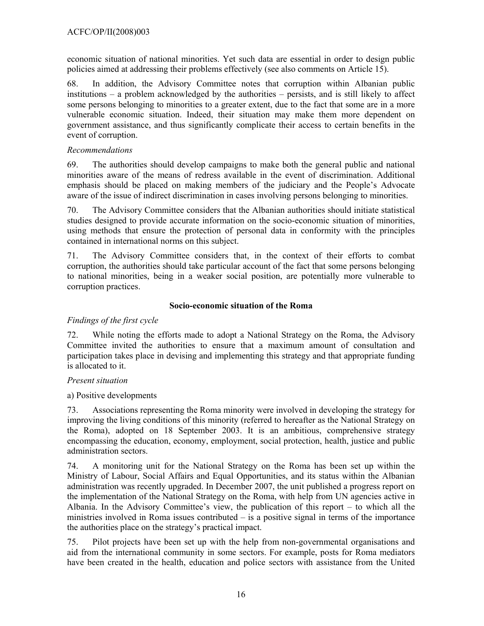economic situation of national minorities. Yet such data are essential in order to design public policies aimed at addressing their problems effectively (see also comments on Article 15).

68. In addition, the Advisory Committee notes that corruption within Albanian public institutions – a problem acknowledged by the authorities – persists, and is still likely to affect some persons belonging to minorities to a greater extent, due to the fact that some are in a more vulnerable economic situation. Indeed, their situation may make them more dependent on government assistance, and thus significantly complicate their access to certain benefits in the event of corruption.

### *Recommendations*

69. The authorities should develop campaigns to make both the general public and national minorities aware of the means of redress available in the event of discrimination. Additional emphasis should be placed on making members of the judiciary and the People's Advocate aware of the issue of indirect discrimination in cases involving persons belonging to minorities.

70. The Advisory Committee considers that the Albanian authorities should initiate statistical studies designed to provide accurate information on the socio-economic situation of minorities, using methods that ensure the protection of personal data in conformity with the principles contained in international norms on this subject.

71. The Advisory Committee considers that, in the context of their efforts to combat corruption, the authorities should take particular account of the fact that some persons belonging to national minorities, being in a weaker social position, are potentially more vulnerable to corruption practices.

### **Socio-economic situation of the Roma**

## *Findings of the first cycle*

72. While noting the efforts made to adopt a National Strategy on the Roma, the Advisory Committee invited the authorities to ensure that a maximum amount of consultation and participation takes place in devising and implementing this strategy and that appropriate funding is allocated to it.

## *Present situation*

a) Positive developments

73. Associations representing the Roma minority were involved in developing the strategy for improving the living conditions of this minority (referred to hereafter as the National Strategy on the Roma), adopted on 18 September 2003. It is an ambitious, comprehensive strategy encompassing the education, economy, employment, social protection, health, justice and public administration sectors.

74. A monitoring unit for the National Strategy on the Roma has been set up within the Ministry of Labour, Social Affairs and Equal Opportunities, and its status within the Albanian administration was recently upgraded. In December 2007, the unit published a progress report on the implementation of the National Strategy on the Roma, with help from UN agencies active in Albania. In the Advisory Committee's view, the publication of this report – to which all the ministries involved in Roma issues contributed – is a positive signal in terms of the importance the authorities place on the strategy's practical impact.

75. Pilot projects have been set up with the help from non-governmental organisations and aid from the international community in some sectors. For example, posts for Roma mediators have been created in the health, education and police sectors with assistance from the United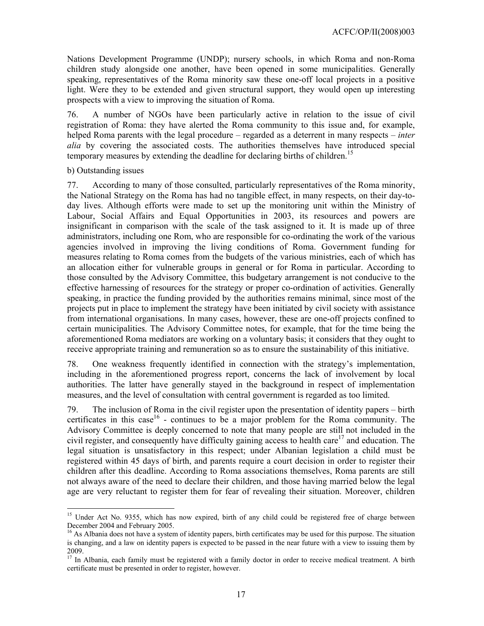Nations Development Programme (UNDP); nursery schools, in which Roma and non-Roma children study alongside one another, have been opened in some municipalities. Generally speaking, representatives of the Roma minority saw these one-off local projects in a positive light. Were they to be extended and given structural support, they would open up interesting prospects with a view to improving the situation of Roma.

76. A number of NGOs have been particularly active in relation to the issue of civil registration of Roma: they have alerted the Roma community to this issue and, for example, helped Roma parents with the legal procedure – regarded as a deterrent in many respects – *inter alia* by covering the associated costs. The authorities themselves have introduced special temporary measures by extending the deadline for declaring births of children.<sup>15</sup>

#### b) Outstanding issues

77. According to many of those consulted, particularly representatives of the Roma minority, the National Strategy on the Roma has had no tangible effect, in many respects, on their day-today lives. Although efforts were made to set up the monitoring unit within the Ministry of Labour, Social Affairs and Equal Opportunities in 2003, its resources and powers are insignificant in comparison with the scale of the task assigned to it. It is made up of three administrators, including one Rom, who are responsible for co-ordinating the work of the various agencies involved in improving the living conditions of Roma. Government funding for measures relating to Roma comes from the budgets of the various ministries, each of which has an allocation either for vulnerable groups in general or for Roma in particular. According to those consulted by the Advisory Committee, this budgetary arrangement is not conducive to the effective harnessing of resources for the strategy or proper co-ordination of activities. Generally speaking, in practice the funding provided by the authorities remains minimal, since most of the projects put in place to implement the strategy have been initiated by civil society with assistance from international organisations. In many cases, however, these are one-off projects confined to certain municipalities. The Advisory Committee notes, for example, that for the time being the aforementioned Roma mediators are working on a voluntary basis; it considers that they ought to receive appropriate training and remuneration so as to ensure the sustainability of this initiative.

78. One weakness frequently identified in connection with the strategy's implementation, including in the aforementioned progress report, concerns the lack of involvement by local authorities. The latter have generally stayed in the background in respect of implementation measures, and the level of consultation with central government is regarded as too limited.

79. The inclusion of Roma in the civil register upon the presentation of identity papers – birth certificates in this case<sup>16</sup> - continues to be a major problem for the Roma community. The Advisory Committee is deeply concerned to note that many people are still not included in the civil register, and consequently have difficulty gaining access to health care<sup>17</sup> and education. The legal situation is unsatisfactory in this respect; under Albanian legislation a child must be registered within 45 days of birth, and parents require a court decision in order to register their children after this deadline. According to Roma associations themselves, Roma parents are still not always aware of the need to declare their children, and those having married below the legal age are very reluctant to register them for fear of revealing their situation. Moreover, children

<sup>&</sup>lt;sup>15</sup> Under Act No. 9355, which has now expired, birth of any child could be registered free of charge between December 2004 and February 2005.

 $<sup>16</sup>$  As Albania does not have a system of identity papers, birth certificates may be used for this purpose. The situation</sup> is changing, and a law on identity papers is expected to be passed in the near future with a view to issuing them by 2009.

In Albania, each family must be registered with a family doctor in order to receive medical treatment. A birth certificate must be presented in order to register, however.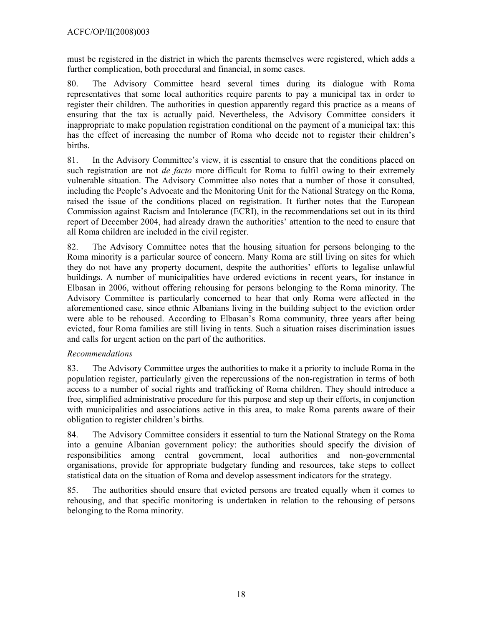must be registered in the district in which the parents themselves were registered, which adds a further complication, both procedural and financial, in some cases.

80. The Advisory Committee heard several times during its dialogue with Roma representatives that some local authorities require parents to pay a municipal tax in order to register their children. The authorities in question apparently regard this practice as a means of ensuring that the tax is actually paid. Nevertheless, the Advisory Committee considers it inappropriate to make population registration conditional on the payment of a municipal tax: this has the effect of increasing the number of Roma who decide not to register their children's births.

81. In the Advisory Committee's view, it is essential to ensure that the conditions placed on such registration are not *de facto* more difficult for Roma to fulfil owing to their extremely vulnerable situation. The Advisory Committee also notes that a number of those it consulted, including the People's Advocate and the Monitoring Unit for the National Strategy on the Roma, raised the issue of the conditions placed on registration. It further notes that the European Commission against Racism and Intolerance (ECRI), in the recommendations set out in its third report of December 2004, had already drawn the authorities' attention to the need to ensure that all Roma children are included in the civil register.

82. The Advisory Committee notes that the housing situation for persons belonging to the Roma minority is a particular source of concern. Many Roma are still living on sites for which they do not have any property document, despite the authorities' efforts to legalise unlawful buildings. A number of municipalities have ordered evictions in recent years, for instance in Elbasan in 2006, without offering rehousing for persons belonging to the Roma minority. The Advisory Committee is particularly concerned to hear that only Roma were affected in the aforementioned case, since ethnic Albanians living in the building subject to the eviction order were able to be rehoused. According to Elbasan's Roma community, three years after being evicted, four Roma families are still living in tents. Such a situation raises discrimination issues and calls for urgent action on the part of the authorities.

## *Recommendations*

83. The Advisory Committee urges the authorities to make it a priority to include Roma in the population register, particularly given the repercussions of the non-registration in terms of both access to a number of social rights and trafficking of Roma children. They should introduce a free, simplified administrative procedure for this purpose and step up their efforts, in conjunction with municipalities and associations active in this area, to make Roma parents aware of their obligation to register children's births.

84. The Advisory Committee considers it essential to turn the National Strategy on the Roma into a genuine Albanian government policy: the authorities should specify the division of responsibilities among central government, local authorities and non-governmental organisations, provide for appropriate budgetary funding and resources, take steps to collect statistical data on the situation of Roma and develop assessment indicators for the strategy.

85. The authorities should ensure that evicted persons are treated equally when it comes to rehousing, and that specific monitoring is undertaken in relation to the rehousing of persons belonging to the Roma minority.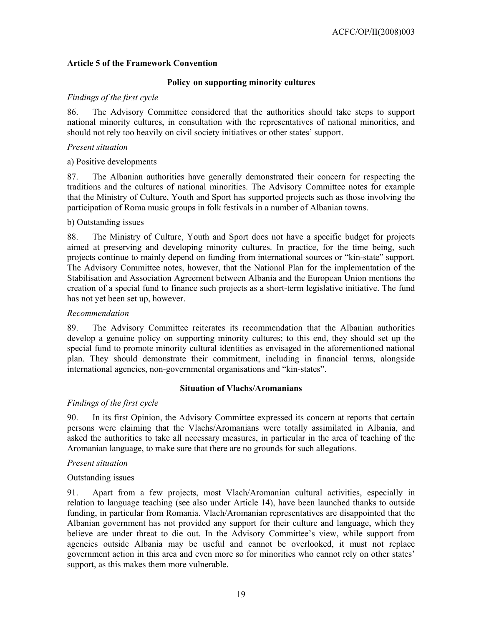### **Article 5 of the Framework Convention**

#### **Policy on supporting minority cultures**

#### *Findings of the first cycle*

86. The Advisory Committee considered that the authorities should take steps to support national minority cultures, in consultation with the representatives of national minorities, and should not rely too heavily on civil society initiatives or other states' support.

#### *Present situation*

a) Positive developments

87. The Albanian authorities have generally demonstrated their concern for respecting the traditions and the cultures of national minorities. The Advisory Committee notes for example that the Ministry of Culture, Youth and Sport has supported projects such as those involving the participation of Roma music groups in folk festivals in a number of Albanian towns.

#### b) Outstanding issues

88. The Ministry of Culture, Youth and Sport does not have a specific budget for projects aimed at preserving and developing minority cultures. In practice, for the time being, such projects continue to mainly depend on funding from international sources or "kin-state" support. The Advisory Committee notes, however, that the National Plan for the implementation of the Stabilisation and Association Agreement between Albania and the European Union mentions the creation of a special fund to finance such projects as a short-term legislative initiative. The fund has not yet been set up, however.

#### *Recommendation*

89. The Advisory Committee reiterates its recommendation that the Albanian authorities develop a genuine policy on supporting minority cultures; to this end, they should set up the special fund to promote minority cultural identities as envisaged in the aforementioned national plan. They should demonstrate their commitment, including in financial terms, alongside international agencies, non-governmental organisations and "kin-states".

#### **Situation of Vlachs/Aromanians**

#### *Findings of the first cycle*

90. In its first Opinion, the Advisory Committee expressed its concern at reports that certain persons were claiming that the Vlachs/Aromanians were totally assimilated in Albania, and asked the authorities to take all necessary measures, in particular in the area of teaching of the Aromanian language, to make sure that there are no grounds for such allegations.

#### *Present situation*

#### Outstanding issues

91. Apart from a few projects, most Vlach/Aromanian cultural activities, especially in relation to language teaching (see also under Article 14), have been launched thanks to outside funding, in particular from Romania. Vlach/Aromanian representatives are disappointed that the Albanian government has not provided any support for their culture and language, which they believe are under threat to die out. In the Advisory Committee's view, while support from agencies outside Albania may be useful and cannot be overlooked, it must not replace government action in this area and even more so for minorities who cannot rely on other states' support, as this makes them more vulnerable.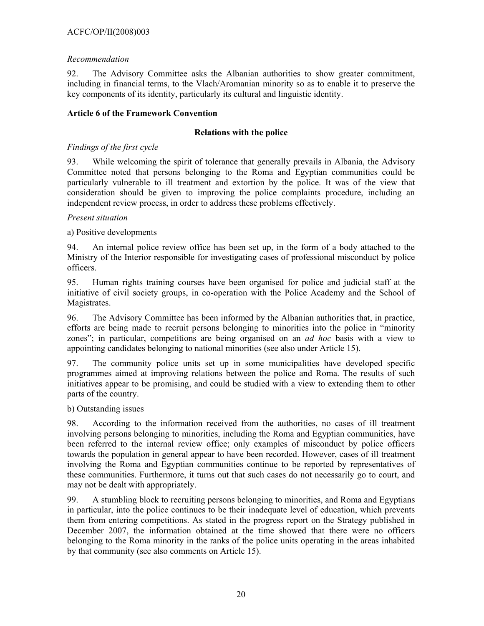### ACFC/OP/II(2008)003

#### *Recommendation*

92. The Advisory Committee asks the Albanian authorities to show greater commitment, including in financial terms, to the Vlach/Aromanian minority so as to enable it to preserve the key components of its identity, particularly its cultural and linguistic identity.

#### **Article 6 of the Framework Convention**

#### **Relations with the police**

#### *Findings of the first cycle*

93. While welcoming the spirit of tolerance that generally prevails in Albania, the Advisory Committee noted that persons belonging to the Roma and Egyptian communities could be particularly vulnerable to ill treatment and extortion by the police. It was of the view that consideration should be given to improving the police complaints procedure, including an independent review process, in order to address these problems effectively.

#### *Present situation*

#### a) Positive developments

94. An internal police review office has been set up, in the form of a body attached to the Ministry of the Interior responsible for investigating cases of professional misconduct by police officers.

95. Human rights training courses have been organised for police and judicial staff at the initiative of civil society groups, in co-operation with the Police Academy and the School of Magistrates.

96. The Advisory Committee has been informed by the Albanian authorities that, in practice, efforts are being made to recruit persons belonging to minorities into the police in "minority zones"; in particular, competitions are being organised on an *ad hoc* basis with a view to appointing candidates belonging to national minorities (see also under Article 15).

97. The community police units set up in some municipalities have developed specific programmes aimed at improving relations between the police and Roma. The results of such initiatives appear to be promising, and could be studied with a view to extending them to other parts of the country.

#### b) Outstanding issues

98. According to the information received from the authorities, no cases of ill treatment involving persons belonging to minorities, including the Roma and Egyptian communities, have been referred to the internal review office; only examples of misconduct by police officers towards the population in general appear to have been recorded. However, cases of ill treatment involving the Roma and Egyptian communities continue to be reported by representatives of these communities. Furthermore, it turns out that such cases do not necessarily go to court, and may not be dealt with appropriately.

99. A stumbling block to recruiting persons belonging to minorities, and Roma and Egyptians in particular, into the police continues to be their inadequate level of education, which prevents them from entering competitions. As stated in the progress report on the Strategy published in December 2007, the information obtained at the time showed that there were no officers belonging to the Roma minority in the ranks of the police units operating in the areas inhabited by that community (see also comments on Article 15).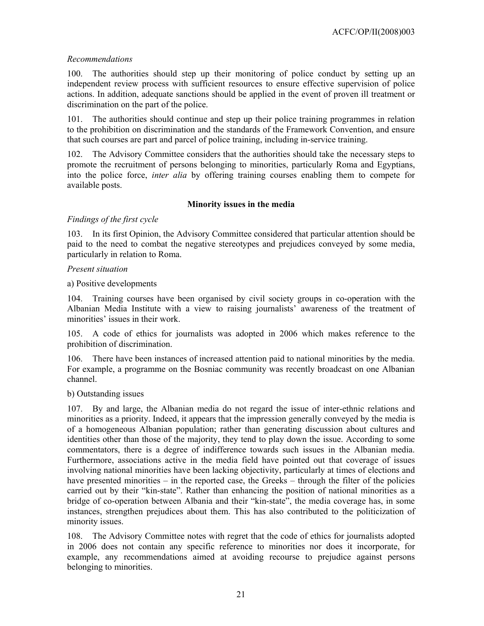### *Recommendations*

100. The authorities should step up their monitoring of police conduct by setting up an independent review process with sufficient resources to ensure effective supervision of police actions. In addition, adequate sanctions should be applied in the event of proven ill treatment or discrimination on the part of the police.

101. The authorities should continue and step up their police training programmes in relation to the prohibition on discrimination and the standards of the Framework Convention, and ensure that such courses are part and parcel of police training, including in-service training.

102. The Advisory Committee considers that the authorities should take the necessary steps to promote the recruitment of persons belonging to minorities, particularly Roma and Egyptians, into the police force, *inter alia* by offering training courses enabling them to compete for available posts.

### **Minority issues in the media**

### *Findings of the first cycle*

103. In its first Opinion, the Advisory Committee considered that particular attention should be paid to the need to combat the negative stereotypes and prejudices conveyed by some media, particularly in relation to Roma.

### *Present situation*

a) Positive developments

104. Training courses have been organised by civil society groups in co-operation with the Albanian Media Institute with a view to raising journalists' awareness of the treatment of minorities' issues in their work.

105. A code of ethics for journalists was adopted in 2006 which makes reference to the prohibition of discrimination.

106. There have been instances of increased attention paid to national minorities by the media. For example, a programme on the Bosniac community was recently broadcast on one Albanian channel.

### b) Outstanding issues

107. By and large, the Albanian media do not regard the issue of inter-ethnic relations and minorities as a priority. Indeed, it appears that the impression generally conveyed by the media is of a homogeneous Albanian population; rather than generating discussion about cultures and identities other than those of the majority, they tend to play down the issue. According to some commentators, there is a degree of indifference towards such issues in the Albanian media. Furthermore, associations active in the media field have pointed out that coverage of issues involving national minorities have been lacking objectivity, particularly at times of elections and have presented minorities – in the reported case, the Greeks – through the filter of the policies carried out by their "kin-state". Rather than enhancing the position of national minorities as a bridge of co-operation between Albania and their "kin-state", the media coverage has, in some instances, strengthen prejudices about them. This has also contributed to the politicization of minority issues.

108. The Advisory Committee notes with regret that the code of ethics for journalists adopted in 2006 does not contain any specific reference to minorities nor does it incorporate, for example, any recommendations aimed at avoiding recourse to prejudice against persons belonging to minorities.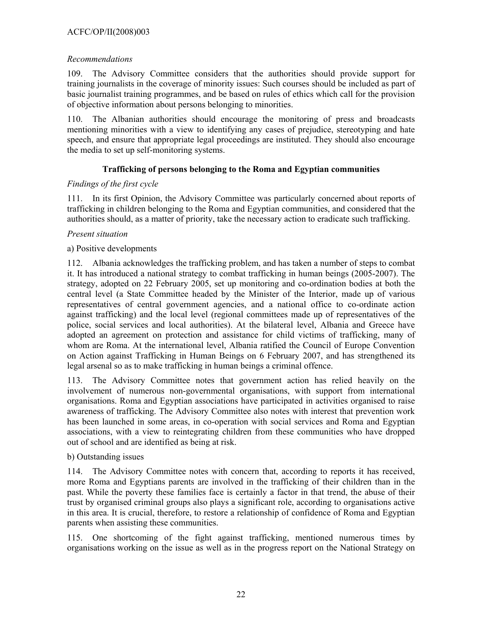### ACFC/OP/II(2008)003

### *Recommendations*

109. The Advisory Committee considers that the authorities should provide support for training journalists in the coverage of minority issues: Such courses should be included as part of basic journalist training programmes, and be based on rules of ethics which call for the provision of objective information about persons belonging to minorities.

110. The Albanian authorities should encourage the monitoring of press and broadcasts mentioning minorities with a view to identifying any cases of prejudice, stereotyping and hate speech, and ensure that appropriate legal proceedings are instituted. They should also encourage the media to set up self-monitoring systems.

### **Trafficking of persons belonging to the Roma and Egyptian communities**

### *Findings of the first cycle*

111. In its first Opinion, the Advisory Committee was particularly concerned about reports of trafficking in children belonging to the Roma and Egyptian communities, and considered that the authorities should, as a matter of priority, take the necessary action to eradicate such trafficking.

### *Present situation*

### a) Positive developments

112. Albania acknowledges the trafficking problem, and has taken a number of steps to combat it. It has introduced a national strategy to combat trafficking in human beings (2005-2007). The strategy, adopted on 22 February 2005, set up monitoring and co-ordination bodies at both the central level (a State Committee headed by the Minister of the Interior, made up of various representatives of central government agencies, and a national office to co-ordinate action against trafficking) and the local level (regional committees made up of representatives of the police, social services and local authorities). At the bilateral level, Albania and Greece have adopted an agreement on protection and assistance for child victims of trafficking, many of whom are Roma. At the international level, Albania ratified the Council of Europe Convention on Action against Trafficking in Human Beings on 6 February 2007, and has strengthened its legal arsenal so as to make trafficking in human beings a criminal offence.

113. The Advisory Committee notes that government action has relied heavily on the involvement of numerous non-governmental organisations, with support from international organisations. Roma and Egyptian associations have participated in activities organised to raise awareness of trafficking. The Advisory Committee also notes with interest that prevention work has been launched in some areas, in co-operation with social services and Roma and Egyptian associations, with a view to reintegrating children from these communities who have dropped out of school and are identified as being at risk.

### b) Outstanding issues

114. The Advisory Committee notes with concern that, according to reports it has received, more Roma and Egyptians parents are involved in the trafficking of their children than in the past. While the poverty these families face is certainly a factor in that trend, the abuse of their trust by organised criminal groups also plays a significant role, according to organisations active in this area. It is crucial, therefore, to restore a relationship of confidence of Roma and Egyptian parents when assisting these communities.

115. One shortcoming of the fight against trafficking, mentioned numerous times by organisations working on the issue as well as in the progress report on the National Strategy on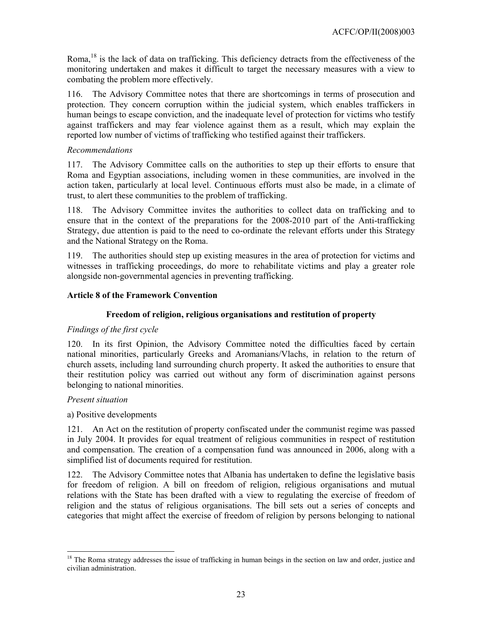Roma.<sup>18</sup> is the lack of data on trafficking. This deficiency detracts from the effectiveness of the monitoring undertaken and makes it difficult to target the necessary measures with a view to combating the problem more effectively.

116. The Advisory Committee notes that there are shortcomings in terms of prosecution and protection. They concern corruption within the judicial system, which enables traffickers in human beings to escape conviction, and the inadequate level of protection for victims who testify against traffickers and may fear violence against them as a result, which may explain the reported low number of victims of trafficking who testified against their traffickers.

#### *Recommendations*

117. The Advisory Committee calls on the authorities to step up their efforts to ensure that Roma and Egyptian associations, including women in these communities, are involved in the action taken, particularly at local level. Continuous efforts must also be made, in a climate of trust, to alert these communities to the problem of trafficking.

118. The Advisory Committee invites the authorities to collect data on trafficking and to ensure that in the context of the preparations for the 2008-2010 part of the Anti-trafficking Strategy, due attention is paid to the need to co-ordinate the relevant efforts under this Strategy and the National Strategy on the Roma.

119. The authorities should step up existing measures in the area of protection for victims and witnesses in trafficking proceedings, do more to rehabilitate victims and play a greater role alongside non-governmental agencies in preventing trafficking.

#### **Article 8 of the Framework Convention**

#### **Freedom of religion, religious organisations and restitution of property**

#### *Findings of the first cycle*

120. In its first Opinion, the Advisory Committee noted the difficulties faced by certain national minorities, particularly Greeks and Aromanians/Vlachs, in relation to the return of church assets, including land surrounding church property. It asked the authorities to ensure that their restitution policy was carried out without any form of discrimination against persons belonging to national minorities.

#### *Present situation*

 $\overline{a}$ 

#### a) Positive developments

121. An Act on the restitution of property confiscated under the communist regime was passed in July 2004. It provides for equal treatment of religious communities in respect of restitution and compensation. The creation of a compensation fund was announced in 2006, along with a simplified list of documents required for restitution.

122. The Advisory Committee notes that Albania has undertaken to define the legislative basis for freedom of religion. A bill on freedom of religion, religious organisations and mutual relations with the State has been drafted with a view to regulating the exercise of freedom of religion and the status of religious organisations. The bill sets out a series of concepts and categories that might affect the exercise of freedom of religion by persons belonging to national

<sup>&</sup>lt;sup>18</sup> The Roma strategy addresses the issue of trafficking in human beings in the section on law and order, justice and civilian administration.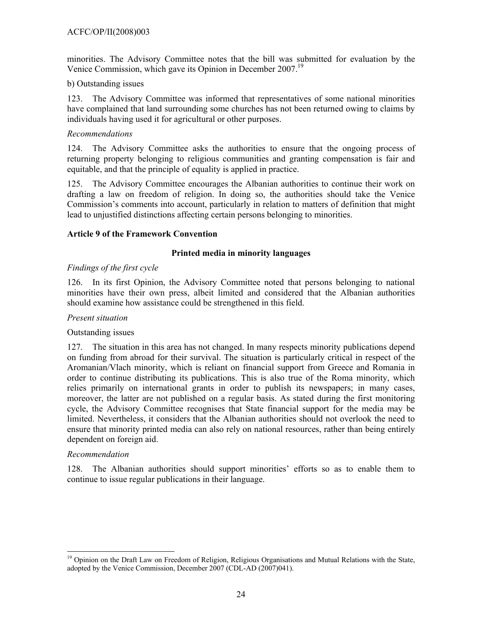minorities. The Advisory Committee notes that the bill was submitted for evaluation by the Venice Commission, which gave its Opinion in December 2007.19

#### b) Outstanding issues

123. The Advisory Committee was informed that representatives of some national minorities have complained that land surrounding some churches has not been returned owing to claims by individuals having used it for agricultural or other purposes.

#### *Recommendations*

124. The Advisory Committee asks the authorities to ensure that the ongoing process of returning property belonging to religious communities and granting compensation is fair and equitable, and that the principle of equality is applied in practice.

125. The Advisory Committee encourages the Albanian authorities to continue their work on drafting a law on freedom of religion. In doing so, the authorities should take the Venice Commission's comments into account, particularly in relation to matters of definition that might lead to unjustified distinctions affecting certain persons belonging to minorities.

#### **Article 9 of the Framework Convention**

#### **Printed media in minority languages**

#### *Findings of the first cycle*

126. In its first Opinion, the Advisory Committee noted that persons belonging to national minorities have their own press, albeit limited and considered that the Albanian authorities should examine how assistance could be strengthened in this field.

#### *Present situation*

#### Outstanding issues

127. The situation in this area has not changed. In many respects minority publications depend on funding from abroad for their survival. The situation is particularly critical in respect of the Aromanian/Vlach minority, which is reliant on financial support from Greece and Romania in order to continue distributing its publications. This is also true of the Roma minority, which relies primarily on international grants in order to publish its newspapers; in many cases, moreover, the latter are not published on a regular basis. As stated during the first monitoring cycle, the Advisory Committee recognises that State financial support for the media may be limited. Nevertheless, it considers that the Albanian authorities should not overlook the need to ensure that minority printed media can also rely on national resources, rather than being entirely dependent on foreign aid.

#### *Recommendation*

 $\overline{a}$ 

128. The Albanian authorities should support minorities' efforts so as to enable them to continue to issue regular publications in their language.

<sup>&</sup>lt;sup>19</sup> Opinion on the Draft Law on Freedom of Religion, Religious Organisations and Mutual Relations with the State, adopted by the Venice Commission, December 2007 (CDL-AD (2007)041).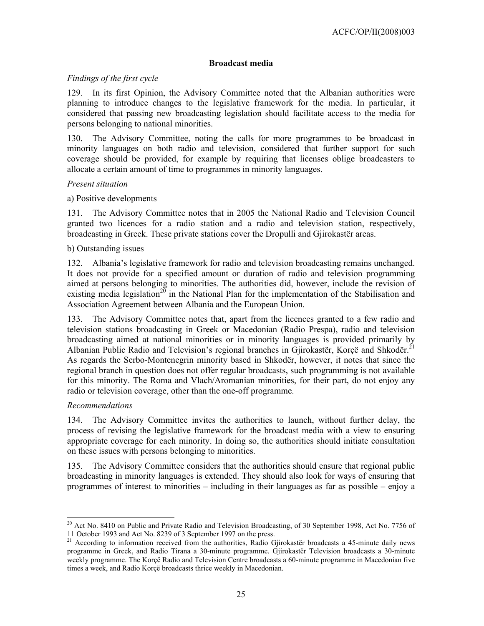#### **Broadcast media**

### *Findings of the first cycle*

129. In its first Opinion, the Advisory Committee noted that the Albanian authorities were planning to introduce changes to the legislative framework for the media. In particular, it considered that passing new broadcasting legislation should facilitate access to the media for persons belonging to national minorities.

130. The Advisory Committee, noting the calls for more programmes to be broadcast in minority languages on both radio and television, considered that further support for such coverage should be provided, for example by requiring that licenses oblige broadcasters to allocate a certain amount of time to programmes in minority languages.

#### *Present situation*

#### a) Positive developments

131. The Advisory Committee notes that in 2005 the National Radio and Television Council granted two licences for a radio station and a radio and television station, respectively, broadcasting in Greek. These private stations cover the Dropulli and Gjirokastër areas.

#### b) Outstanding issues

132. Albania's legislative framework for radio and television broadcasting remains unchanged. It does not provide for a specified amount or duration of radio and television programming aimed at persons belonging to minorities. The authorities did, however, include the revision of existing media legislation<sup>20</sup> in the National Plan for the implementation of the Stabilisation and Association Agreement between Albania and the European Union.

133. The Advisory Committee notes that, apart from the licences granted to a few radio and television stations broadcasting in Greek or Macedonian (Radio Prespa), radio and television broadcasting aimed at national minorities or in minority languages is provided primarily by Albanian Public Radio and Television's regional branches in Gjirokastër, Korçë and Shkodër.<sup>21</sup> As regards the Serbo-Montenegrin minority based in Shkodër, however, it notes that since the regional branch in question does not offer regular broadcasts, such programming is not available for this minority. The Roma and Vlach/Aromanian minorities, for their part, do not enjoy any radio or television coverage, other than the one-off programme.

### *Recommendations*

 $\overline{a}$ 

134. The Advisory Committee invites the authorities to launch, without further delay, the process of revising the legislative framework for the broadcast media with a view to ensuring appropriate coverage for each minority. In doing so, the authorities should initiate consultation on these issues with persons belonging to minorities.

135. The Advisory Committee considers that the authorities should ensure that regional public broadcasting in minority languages is extended. They should also look for ways of ensuring that programmes of interest to minorities – including in their languages as far as possible – enjoy a

<sup>&</sup>lt;sup>20</sup> Act No. 8410 on Public and Private Radio and Television Broadcasting, of 30 September 1998, Act No. 7756 of 11 October 1993 and Act No. 8239 of 3 September 1997 on the press.

<sup>&</sup>lt;sup>21</sup> According to information received from the authorities, Radio Gjirokastër broadcasts a 45-minute daily news programme in Greek, and Radio Tirana a 30-minute programme. Gjirokastër Television broadcasts a 30-minute weekly programme. The Korçë Radio and Television Centre broadcasts a 60-minute programme in Macedonian five times a week, and Radio Korçë broadcasts thrice weekly in Macedonian.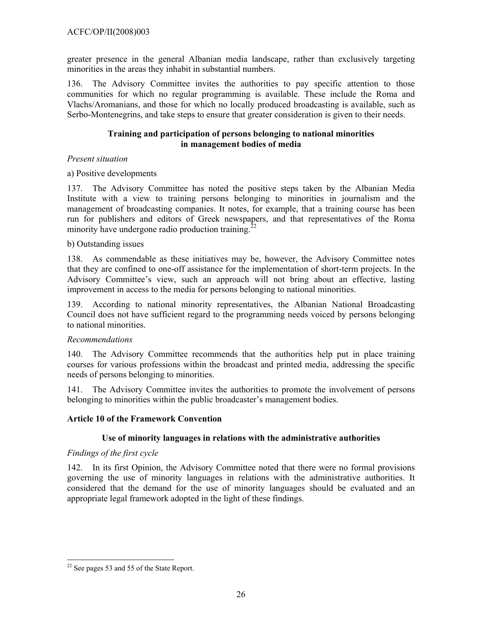greater presence in the general Albanian media landscape, rather than exclusively targeting minorities in the areas they inhabit in substantial numbers.

136. The Advisory Committee invites the authorities to pay specific attention to those communities for which no regular programming is available. These include the Roma and Vlachs/Aromanians, and those for which no locally produced broadcasting is available, such as Serbo-Montenegrins, and take steps to ensure that greater consideration is given to their needs.

#### **Training and participation of persons belonging to national minorities in management bodies of media**

#### *Present situation*

a) Positive developments

137. The Advisory Committee has noted the positive steps taken by the Albanian Media Institute with a view to training persons belonging to minorities in journalism and the management of broadcasting companies. It notes, for example, that a training course has been run for publishers and editors of Greek newspapers, and that representatives of the Roma minority have undergone radio production training.<sup>22</sup>

#### b) Outstanding issues

138. As commendable as these initiatives may be, however, the Advisory Committee notes that they are confined to one-off assistance for the implementation of short-term projects. In the Advisory Committee's view, such an approach will not bring about an effective, lasting improvement in access to the media for persons belonging to national minorities.

139. According to national minority representatives, the Albanian National Broadcasting Council does not have sufficient regard to the programming needs voiced by persons belonging to national minorities.

### *Recommendations*

140. The Advisory Committee recommends that the authorities help put in place training courses for various professions within the broadcast and printed media, addressing the specific needs of persons belonging to minorities.

141. The Advisory Committee invites the authorities to promote the involvement of persons belonging to minorities within the public broadcaster's management bodies.

### **Article 10 of the Framework Convention**

### **Use of minority languages in relations with the administrative authorities**

### *Findings of the first cycle*

142. In its first Opinion, the Advisory Committee noted that there were no formal provisions governing the use of minority languages in relations with the administrative authorities. It considered that the demand for the use of minority languages should be evaluated and an appropriate legal framework adopted in the light of these findings.

 $\overline{a}$  $22$  See pages 53 and 55 of the State Report.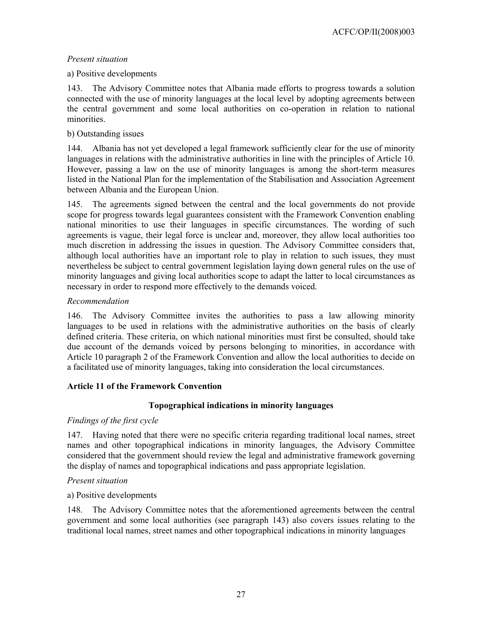### *Present situation*

### a) Positive developments

143. The Advisory Committee notes that Albania made efforts to progress towards a solution connected with the use of minority languages at the local level by adopting agreements between the central government and some local authorities on co-operation in relation to national minorities.

### b) Outstanding issues

144. Albania has not yet developed a legal framework sufficiently clear for the use of minority languages in relations with the administrative authorities in line with the principles of Article 10. However, passing a law on the use of minority languages is among the short-term measures listed in the National Plan for the implementation of the Stabilisation and Association Agreement between Albania and the European Union.

145. The agreements signed between the central and the local governments do not provide scope for progress towards legal guarantees consistent with the Framework Convention enabling national minorities to use their languages in specific circumstances. The wording of such agreements is vague, their legal force is unclear and, moreover, they allow local authorities too much discretion in addressing the issues in question. The Advisory Committee considers that, although local authorities have an important role to play in relation to such issues, they must nevertheless be subject to central government legislation laying down general rules on the use of minority languages and giving local authorities scope to adapt the latter to local circumstances as necessary in order to respond more effectively to the demands voiced.

### *Recommendation*

146. The Advisory Committee invites the authorities to pass a law allowing minority languages to be used in relations with the administrative authorities on the basis of clearly defined criteria. These criteria, on which national minorities must first be consulted, should take due account of the demands voiced by persons belonging to minorities, in accordance with Article 10 paragraph 2 of the Framework Convention and allow the local authorities to decide on a facilitated use of minority languages, taking into consideration the local circumstances.

## **Article 11 of the Framework Convention**

### **Topographical indications in minority languages**

### *Findings of the first cycle*

147. Having noted that there were no specific criteria regarding traditional local names, street names and other topographical indications in minority languages, the Advisory Committee considered that the government should review the legal and administrative framework governing the display of names and topographical indications and pass appropriate legislation.

### *Present situation*

### a) Positive developments

148. The Advisory Committee notes that the aforementioned agreements between the central government and some local authorities (see paragraph 143) also covers issues relating to the traditional local names, street names and other topographical indications in minority languages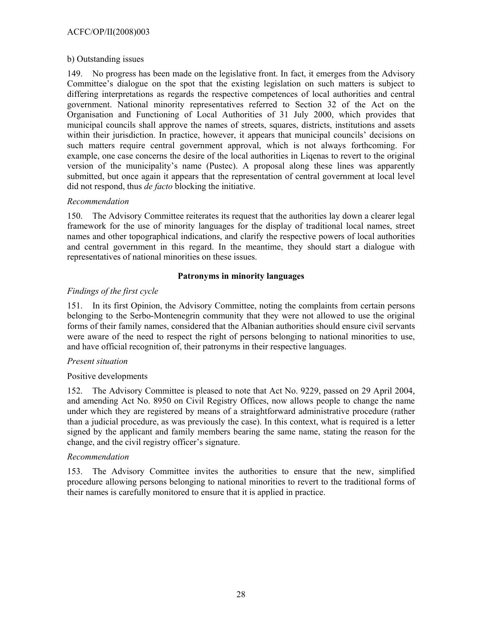#### b) Outstanding issues

149. No progress has been made on the legislative front. In fact, it emerges from the Advisory Committee's dialogue on the spot that the existing legislation on such matters is subject to differing interpretations as regards the respective competences of local authorities and central government. National minority representatives referred to Section 32 of the Act on the Organisation and Functioning of Local Authorities of 31 July 2000, which provides that municipal councils shall approve the names of streets, squares, districts, institutions and assets within their jurisdiction. In practice, however, it appears that municipal councils' decisions on such matters require central government approval, which is not always forthcoming. For example, one case concerns the desire of the local authorities in Liqenas to revert to the original version of the municipality's name (Pustec). A proposal along these lines was apparently submitted, but once again it appears that the representation of central government at local level did not respond, thus *de facto* blocking the initiative.

#### *Recommendation*

150. The Advisory Committee reiterates its request that the authorities lay down a clearer legal framework for the use of minority languages for the display of traditional local names, street names and other topographical indications, and clarify the respective powers of local authorities and central government in this regard. In the meantime, they should start a dialogue with representatives of national minorities on these issues.

### **Patronyms in minority languages**

### *Findings of the first cycle*

151. In its first Opinion, the Advisory Committee, noting the complaints from certain persons belonging to the Serbo-Montenegrin community that they were not allowed to use the original forms of their family names, considered that the Albanian authorities should ensure civil servants were aware of the need to respect the right of persons belonging to national minorities to use, and have official recognition of, their patronyms in their respective languages.

### *Present situation*

### Positive developments

152. The Advisory Committee is pleased to note that Act No. 9229, passed on 29 April 2004, and amending Act No. 8950 on Civil Registry Offices, now allows people to change the name under which they are registered by means of a straightforward administrative procedure (rather than a judicial procedure, as was previously the case). In this context, what is required is a letter signed by the applicant and family members bearing the same name, stating the reason for the change, and the civil registry officer's signature.

### *Recommendation*

153. The Advisory Committee invites the authorities to ensure that the new, simplified procedure allowing persons belonging to national minorities to revert to the traditional forms of their names is carefully monitored to ensure that it is applied in practice.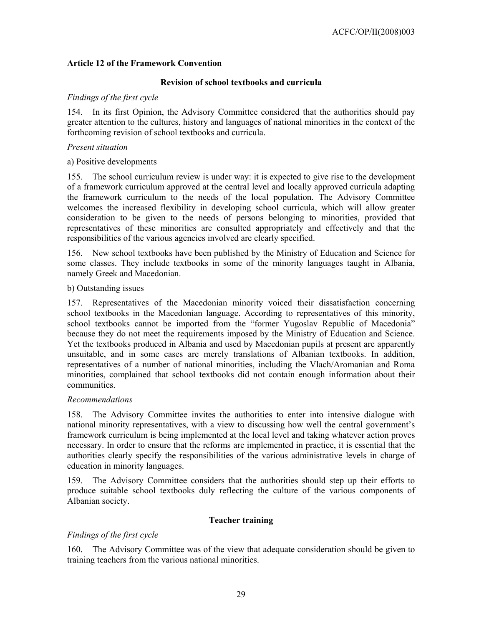### **Article 12 of the Framework Convention**

#### **Revision of school textbooks and curricula**

#### *Findings of the first cycle*

154. In its first Opinion, the Advisory Committee considered that the authorities should pay greater attention to the cultures, history and languages of national minorities in the context of the forthcoming revision of school textbooks and curricula.

#### *Present situation*

#### a) Positive developments

155. The school curriculum review is under way: it is expected to give rise to the development of a framework curriculum approved at the central level and locally approved curricula adapting the framework curriculum to the needs of the local population. The Advisory Committee welcomes the increased flexibility in developing school curricula, which will allow greater consideration to be given to the needs of persons belonging to minorities, provided that representatives of these minorities are consulted appropriately and effectively and that the responsibilities of the various agencies involved are clearly specified.

156. New school textbooks have been published by the Ministry of Education and Science for some classes. They include textbooks in some of the minority languages taught in Albania, namely Greek and Macedonian.

#### b) Outstanding issues

157. Representatives of the Macedonian minority voiced their dissatisfaction concerning school textbooks in the Macedonian language. According to representatives of this minority, school textbooks cannot be imported from the "former Yugoslav Republic of Macedonia" because they do not meet the requirements imposed by the Ministry of Education and Science. Yet the textbooks produced in Albania and used by Macedonian pupils at present are apparently unsuitable, and in some cases are merely translations of Albanian textbooks. In addition, representatives of a number of national minorities, including the Vlach/Aromanian and Roma minorities, complained that school textbooks did not contain enough information about their communities.

#### *Recommendations*

158. The Advisory Committee invites the authorities to enter into intensive dialogue with national minority representatives, with a view to discussing how well the central government's framework curriculum is being implemented at the local level and taking whatever action proves necessary. In order to ensure that the reforms are implemented in practice, it is essential that the authorities clearly specify the responsibilities of the various administrative levels in charge of education in minority languages.

159. The Advisory Committee considers that the authorities should step up their efforts to produce suitable school textbooks duly reflecting the culture of the various components of Albanian society.

### **Teacher training**

### *Findings of the first cycle*

160. The Advisory Committee was of the view that adequate consideration should be given to training teachers from the various national minorities.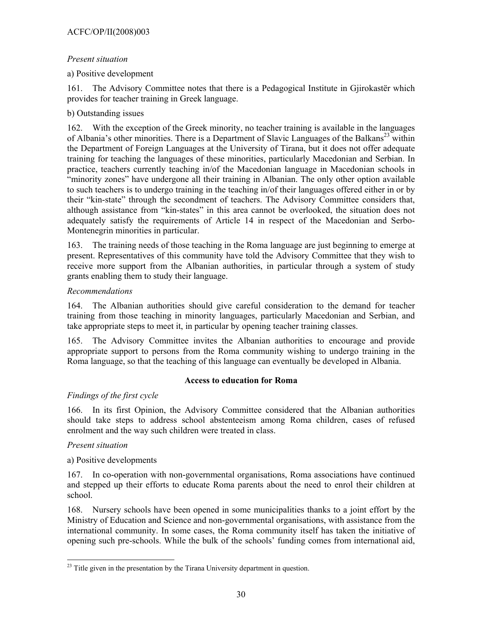### *Present situation*

### a) Positive development

161. The Advisory Committee notes that there is a Pedagogical Institute in Gjirokastër which provides for teacher training in Greek language.

### b) Outstanding issues

162. With the exception of the Greek minority, no teacher training is available in the languages of Albania's other minorities. There is a Department of Slavic Languages of the Balkans<sup>23</sup> within the Department of Foreign Languages at the University of Tirana, but it does not offer adequate training for teaching the languages of these minorities, particularly Macedonian and Serbian. In practice, teachers currently teaching in/of the Macedonian language in Macedonian schools in "minority zones" have undergone all their training in Albanian. The only other option available to such teachers is to undergo training in the teaching in/of their languages offered either in or by their "kin-state" through the secondment of teachers. The Advisory Committee considers that, although assistance from "kin-states" in this area cannot be overlooked, the situation does not adequately satisfy the requirements of Article 14 in respect of the Macedonian and Serbo-Montenegrin minorities in particular.

163. The training needs of those teaching in the Roma language are just beginning to emerge at present. Representatives of this community have told the Advisory Committee that they wish to receive more support from the Albanian authorities, in particular through a system of study grants enabling them to study their language.

### *Recommendations*

164. The Albanian authorities should give careful consideration to the demand for teacher training from those teaching in minority languages, particularly Macedonian and Serbian, and take appropriate steps to meet it, in particular by opening teacher training classes.

165. The Advisory Committee invites the Albanian authorities to encourage and provide appropriate support to persons from the Roma community wishing to undergo training in the Roma language, so that the teaching of this language can eventually be developed in Albania.

## **Access to education for Roma**

## *Findings of the first cycle*

166. In its first Opinion, the Advisory Committee considered that the Albanian authorities should take steps to address school abstenteeism among Roma children, cases of refused enrolment and the way such children were treated in class.

### *Present situation*

## a) Positive developments

167. In co-operation with non-governmental organisations, Roma associations have continued and stepped up their efforts to educate Roma parents about the need to enrol their children at school.

168. Nursery schools have been opened in some municipalities thanks to a joint effort by the Ministry of Education and Science and non-governmental organisations, with assistance from the international community. In some cases, the Roma community itself has taken the initiative of opening such pre-schools. While the bulk of the schools' funding comes from international aid,

 $\overline{a}$  $^{23}$  Title given in the presentation by the Tirana University department in question.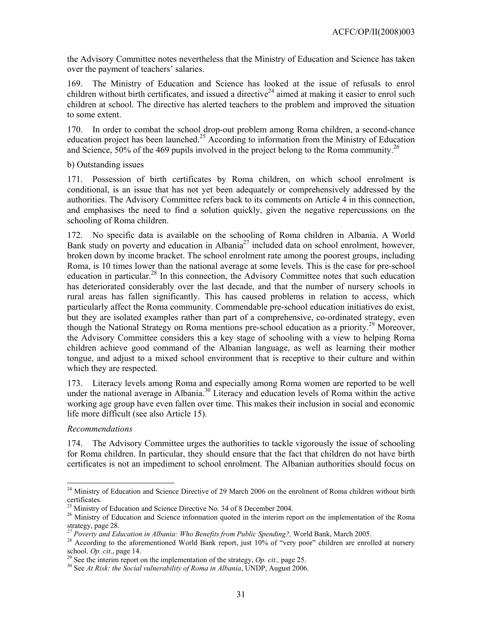the Advisory Committee notes nevertheless that the Ministry of Education and Science has taken over the payment of teachers' salaries.

169. The Ministry of Education and Science has looked at the issue of refusals to enrol children without birth certificates, and issued a directive<sup>24</sup> aimed at making it easier to enrol such children at school. The directive has alerted teachers to the problem and improved the situation to some extent.

170. In order to combat the school drop-out problem among Roma children, a second-chance education project has been launched.<sup>25</sup> According to information from the Ministry of Education and Science, 50% of the 469 pupils involved in the project belong to the Roma community.<sup>26</sup>

b) Outstanding issues

171. Possession of birth certificates by Roma children, on which school enrolment is conditional, is an issue that has not yet been adequately or comprehensively addressed by the authorities. The Advisory Committee refers back to its comments on Article 4 in this connection, and emphasises the need to find a solution quickly, given the negative repercussions on the schooling of Roma children.

172. No specific data is available on the schooling of Roma children in Albania. A World Bank study on poverty and education in Albania<sup>27</sup> included data on school enrolment, however, broken down by income bracket. The school enrolment rate among the poorest groups, including Roma, is 10 times lower than the national average at some levels. This is the case for pre-school education in particular.<sup>28</sup> In this connection, the Advisory Committee notes that such education has deteriorated considerably over the last decade, and that the number of nursery schools in rural areas has fallen significantly. This has caused problems in relation to access, which particularly affect the Roma community. Commendable pre-school education initiatives do exist, but they are isolated examples rather than part of a comprehensive, co-ordinated strategy, even though the National Strategy on Roma mentions pre-school education as a priority.<sup>29</sup> Moreover, the Advisory Committee considers this a key stage of schooling with a view to helping Roma children achieve good command of the Albanian language, as well as learning their mother tongue, and adjust to a mixed school environment that is receptive to their culture and within which they are respected.

173. Literacy levels among Roma and especially among Roma women are reported to be well under the national average in Albania.<sup>30</sup> Literacy and education levels of Roma within the active working age group have even fallen over time. This makes their inclusion in social and economic life more difficult (see also Article 15).

### *Recommendations*

 $\overline{a}$ 

174. The Advisory Committee urges the authorities to tackle vigorously the issue of schooling for Roma children. In particular, they should ensure that the fact that children do not have birth certificates is not an impediment to school enrolment. The Albanian authorities should focus on

<sup>&</sup>lt;sup>24</sup> Ministry of Education and Science Directive of 29 March 2006 on the enrolment of Roma children without birth certificates.

<sup>&</sup>lt;sup>25</sup> Ministry of Education and Science Directive No. 34 of 8 December 2004.

<sup>&</sup>lt;sup>26</sup> Ministry of Education and Science information quoted in the interim report on the implementation of the Roma

strategy, page 28.<br><sup>27</sup> Poverty and Education in Albania: Who Benefits from Public Spending?, World Bank, March 2005.

<sup>&</sup>lt;sup>28</sup> According to the aforementioned World Bank report, just 10% of "very poor" children are enrolled at nursery

school. *Op. cit.*, page 14. <sup>29</sup> See the interim report on the implementation of the strategy, *Op. cit.*, page 25. <sup>30</sup> See *At Risk: the Social vulnerability of Roma in Albania*, UNDP, August 2006.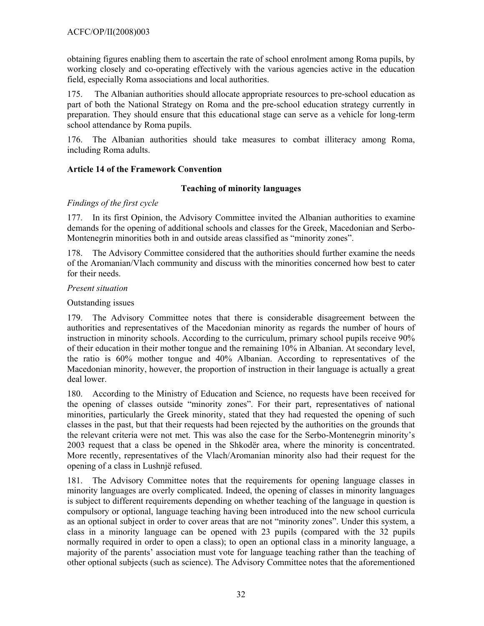obtaining figures enabling them to ascertain the rate of school enrolment among Roma pupils, by working closely and co-operating effectively with the various agencies active in the education field, especially Roma associations and local authorities.

175. The Albanian authorities should allocate appropriate resources to pre-school education as part of both the National Strategy on Roma and the pre-school education strategy currently in preparation. They should ensure that this educational stage can serve as a vehicle for long-term school attendance by Roma pupils.

176. The Albanian authorities should take measures to combat illiteracy among Roma, including Roma adults.

### **Article 14 of the Framework Convention**

### **Teaching of minority languages**

## *Findings of the first cycle*

177. In its first Opinion, the Advisory Committee invited the Albanian authorities to examine demands for the opening of additional schools and classes for the Greek, Macedonian and Serbo-Montenegrin minorities both in and outside areas classified as "minority zones".

178. The Advisory Committee considered that the authorities should further examine the needs of the Aromanian/Vlach community and discuss with the minorities concerned how best to cater for their needs.

### *Present situation*

Outstanding issues

179. The Advisory Committee notes that there is considerable disagreement between the authorities and representatives of the Macedonian minority as regards the number of hours of instruction in minority schools. According to the curriculum, primary school pupils receive 90% of their education in their mother tongue and the remaining 10% in Albanian. At secondary level, the ratio is 60% mother tongue and 40% Albanian. According to representatives of the Macedonian minority, however, the proportion of instruction in their language is actually a great deal lower.

180. According to the Ministry of Education and Science, no requests have been received for the opening of classes outside "minority zones". For their part, representatives of national minorities, particularly the Greek minority, stated that they had requested the opening of such classes in the past, but that their requests had been rejected by the authorities on the grounds that the relevant criteria were not met. This was also the case for the Serbo-Montenegrin minority's 2003 request that a class be opened in the Shkodër area, where the minority is concentrated. More recently, representatives of the Vlach/Aromanian minority also had their request for the opening of a class in Lushnjë refused.

181. The Advisory Committee notes that the requirements for opening language classes in minority languages are overly complicated. Indeed, the opening of classes in minority languages is subject to different requirements depending on whether teaching of the language in question is compulsory or optional, language teaching having been introduced into the new school curricula as an optional subject in order to cover areas that are not "minority zones". Under this system, a class in a minority language can be opened with 23 pupils (compared with the 32 pupils normally required in order to open a class); to open an optional class in a minority language, a majority of the parents' association must vote for language teaching rather than the teaching of other optional subjects (such as science). The Advisory Committee notes that the aforementioned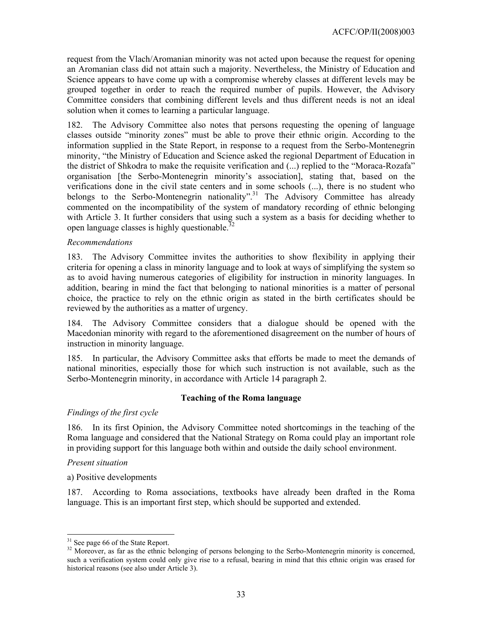request from the Vlach/Aromanian minority was not acted upon because the request for opening an Aromanian class did not attain such a majority. Nevertheless, the Ministry of Education and Science appears to have come up with a compromise whereby classes at different levels may be grouped together in order to reach the required number of pupils. However, the Advisory Committee considers that combining different levels and thus different needs is not an ideal solution when it comes to learning a particular language.

182. The Advisory Committee also notes that persons requesting the opening of language classes outside "minority zones" must be able to prove their ethnic origin. According to the information supplied in the State Report, in response to a request from the Serbo-Montenegrin minority, "the Ministry of Education and Science asked the regional Department of Education in the district of Shkodra to make the requisite verification and (...) replied to the "Moraca-Rozafa" organisation [the Serbo-Montenegrin minority's association], stating that, based on the verifications done in the civil state centers and in some schools (...), there is no student who belongs to the Serbo-Montenegrin nationality".<sup>31</sup> The Advisory Committee has already commented on the incompatibility of the system of mandatory recording of ethnic belonging with Article 3. It further considers that using such a system as a basis for deciding whether to open language classes is highly questionable.<sup>32</sup>

#### *Recommendations*

183. The Advisory Committee invites the authorities to show flexibility in applying their criteria for opening a class in minority language and to look at ways of simplifying the system so as to avoid having numerous categories of eligibility for instruction in minority languages. In addition, bearing in mind the fact that belonging to national minorities is a matter of personal choice, the practice to rely on the ethnic origin as stated in the birth certificates should be reviewed by the authorities as a matter of urgency.

184. The Advisory Committee considers that a dialogue should be opened with the Macedonian minority with regard to the aforementioned disagreement on the number of hours of instruction in minority language.

185. In particular, the Advisory Committee asks that efforts be made to meet the demands of national minorities, especially those for which such instruction is not available, such as the Serbo-Montenegrin minority, in accordance with Article 14 paragraph 2.

#### **Teaching of the Roma language**

#### *Findings of the first cycle*

186. In its first Opinion, the Advisory Committee noted shortcomings in the teaching of the Roma language and considered that the National Strategy on Roma could play an important role in providing support for this language both within and outside the daily school environment.

#### *Present situation*

 $\overline{a}$ 

a) Positive developments

187. According to Roma associations, textbooks have already been drafted in the Roma language. This is an important first step, which should be supported and extended.

 $31$  See page 66 of the State Report.

<sup>&</sup>lt;sup>32</sup> Moreover, as far as the ethnic belonging of persons belonging to the Serbo-Montenegrin minority is concerned, such a verification system could only give rise to a refusal, bearing in mind that this ethnic origin was erased for historical reasons (see also under Article 3).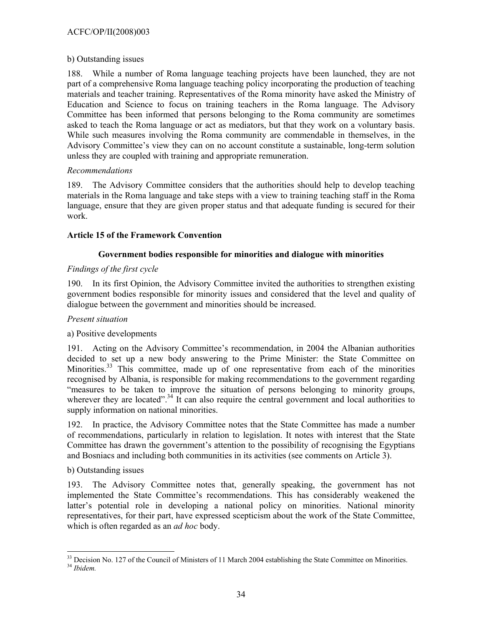### b) Outstanding issues

188. While a number of Roma language teaching projects have been launched, they are not part of a comprehensive Roma language teaching policy incorporating the production of teaching materials and teacher training. Representatives of the Roma minority have asked the Ministry of Education and Science to focus on training teachers in the Roma language. The Advisory Committee has been informed that persons belonging to the Roma community are sometimes asked to teach the Roma language or act as mediators, but that they work on a voluntary basis. While such measures involving the Roma community are commendable in themselves, in the Advisory Committee's view they can on no account constitute a sustainable, long-term solution unless they are coupled with training and appropriate remuneration.

#### *Recommendations*

189. The Advisory Committee considers that the authorities should help to develop teaching materials in the Roma language and take steps with a view to training teaching staff in the Roma language, ensure that they are given proper status and that adequate funding is secured for their work.

#### **Article 15 of the Framework Convention**

### **Government bodies responsible for minorities and dialogue with minorities**

#### *Findings of the first cycle*

190. In its first Opinion, the Advisory Committee invited the authorities to strengthen existing government bodies responsible for minority issues and considered that the level and quality of dialogue between the government and minorities should be increased.

#### *Present situation*

### a) Positive developments

191. Acting on the Advisory Committee's recommendation, in 2004 the Albanian authorities decided to set up a new body answering to the Prime Minister: the State Committee on Minorities.<sup>33</sup> This committee, made up of one representative from each of the minorities recognised by Albania, is responsible for making recommendations to the government regarding "measures to be taken to improve the situation of persons belonging to minority groups, wherever they are located".<sup>34</sup> It can also require the central government and local authorities to supply information on national minorities.

192. In practice, the Advisory Committee notes that the State Committee has made a number of recommendations, particularly in relation to legislation. It notes with interest that the State Committee has drawn the government's attention to the possibility of recognising the Egyptians and Bosniacs and including both communities in its activities (see comments on Article 3).

### b) Outstanding issues

193. The Advisory Committee notes that, generally speaking, the government has not implemented the State Committee's recommendations. This has considerably weakened the latter's potential role in developing a national policy on minorities. National minority representatives, for their part, have expressed scepticism about the work of the State Committee, which is often regarded as an *ad hoc* body.

 $\overline{a}$ 

<sup>&</sup>lt;sup>33</sup> Decision No. 127 of the Council of Ministers of 11 March 2004 establishing the State Committee on Minorities.

<sup>34</sup> *Ibidem.*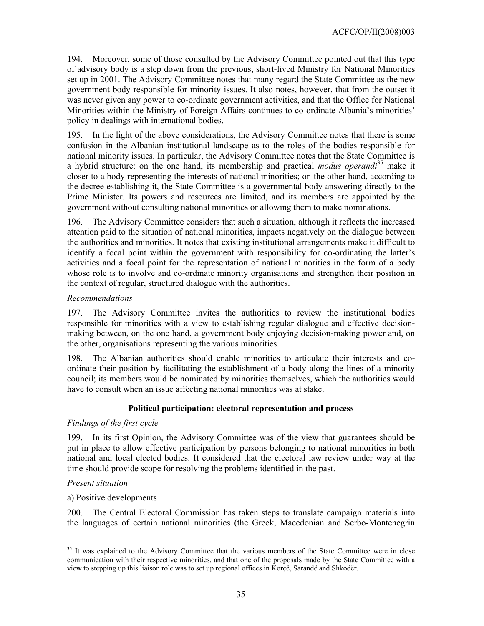194. Moreover, some of those consulted by the Advisory Committee pointed out that this type of advisory body is a step down from the previous, short-lived Ministry for National Minorities set up in 2001. The Advisory Committee notes that many regard the State Committee as the new government body responsible for minority issues. It also notes, however, that from the outset it was never given any power to co-ordinate government activities, and that the Office for National Minorities within the Ministry of Foreign Affairs continues to co-ordinate Albania's minorities' policy in dealings with international bodies.

195. In the light of the above considerations, the Advisory Committee notes that there is some confusion in the Albanian institutional landscape as to the roles of the bodies responsible for national minority issues. In particular, the Advisory Committee notes that the State Committee is a hybrid structure: on the one hand, its membership and practical *modus operandi*35 make it closer to a body representing the interests of national minorities; on the other hand, according to the decree establishing it, the State Committee is a governmental body answering directly to the Prime Minister. Its powers and resources are limited, and its members are appointed by the government without consulting national minorities or allowing them to make nominations.

196. The Advisory Committee considers that such a situation, although it reflects the increased attention paid to the situation of national minorities, impacts negatively on the dialogue between the authorities and minorities. It notes that existing institutional arrangements make it difficult to identify a focal point within the government with responsibility for co-ordinating the latter's activities and a focal point for the representation of national minorities in the form of a body whose role is to involve and co-ordinate minority organisations and strengthen their position in the context of regular, structured dialogue with the authorities.

### *Recommendations*

197. The Advisory Committee invites the authorities to review the institutional bodies responsible for minorities with a view to establishing regular dialogue and effective decisionmaking between, on the one hand, a government body enjoying decision-making power and, on the other, organisations representing the various minorities.

198. The Albanian authorities should enable minorities to articulate their interests and coordinate their position by facilitating the establishment of a body along the lines of a minority council; its members would be nominated by minorities themselves, which the authorities would have to consult when an issue affecting national minorities was at stake.

### **Political participation: electoral representation and process**

#### *Findings of the first cycle*

199. In its first Opinion, the Advisory Committee was of the view that guarantees should be put in place to allow effective participation by persons belonging to national minorities in both national and local elected bodies. It considered that the electoral law review under way at the time should provide scope for resolving the problems identified in the past.

#### *Present situation*

 $\overline{a}$ 

#### a) Positive developments

200. The Central Electoral Commission has taken steps to translate campaign materials into the languages of certain national minorities (the Greek, Macedonian and Serbo-Montenegrin

<sup>&</sup>lt;sup>35</sup> It was explained to the Advisory Committee that the various members of the State Committee were in close communication with their respective minorities, and that one of the proposals made by the State Committee with a view to stepping up this liaison role was to set up regional offices in Korçë, Sarandë and Shkodër.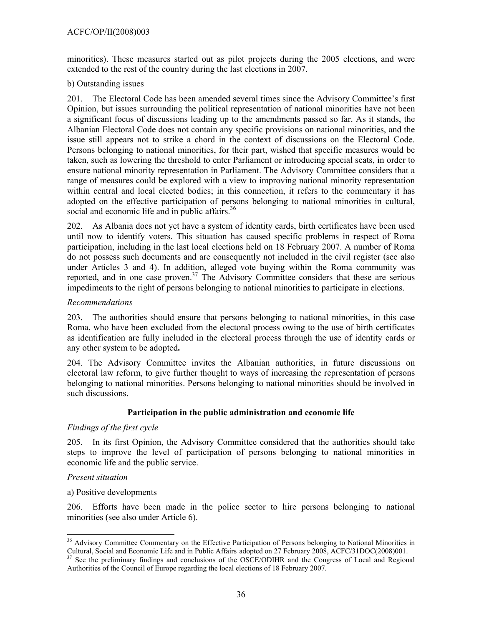minorities). These measures started out as pilot projects during the 2005 elections, and were extended to the rest of the country during the last elections in 2007.

#### b) Outstanding issues

201. The Electoral Code has been amended several times since the Advisory Committee's first Opinion, but issues surrounding the political representation of national minorities have not been a significant focus of discussions leading up to the amendments passed so far. As it stands, the Albanian Electoral Code does not contain any specific provisions on national minorities, and the issue still appears not to strike a chord in the context of discussions on the Electoral Code. Persons belonging to national minorities, for their part, wished that specific measures would be taken, such as lowering the threshold to enter Parliament or introducing special seats, in order to ensure national minority representation in Parliament. The Advisory Committee considers that a range of measures could be explored with a view to improving national minority representation within central and local elected bodies; in this connection, it refers to the commentary it has adopted on the effective participation of persons belonging to national minorities in cultural, social and economic life and in public affairs.<sup>36</sup>

202. As Albania does not yet have a system of identity cards, birth certificates have been used until now to identify voters. This situation has caused specific problems in respect of Roma participation, including in the last local elections held on 18 February 2007. A number of Roma do not possess such documents and are consequently not included in the civil register (see also under Articles 3 and 4). In addition, alleged vote buying within the Roma community was reported, and in one case proven.<sup>37</sup> The Advisory Committee considers that these are serious impediments to the right of persons belonging to national minorities to participate in elections.

### *Recommendations*

203. The authorities should ensure that persons belonging to national minorities, in this case Roma, who have been excluded from the electoral process owing to the use of birth certificates as identification are fully included in the electoral process through the use of identity cards or any other system to be adopted**.** 

204. The Advisory Committee invites the Albanian authorities, in future discussions on electoral law reform, to give further thought to ways of increasing the representation of persons belonging to national minorities. Persons belonging to national minorities should be involved in such discussions.

### **Participation in the public administration and economic life**

### *Findings of the first cycle*

205. In its first Opinion, the Advisory Committee considered that the authorities should take steps to improve the level of participation of persons belonging to national minorities in economic life and the public service.

#### *Present situation*

 $\overline{a}$ 

#### a) Positive developments

206. Efforts have been made in the police sector to hire persons belonging to national minorities (see also under Article 6).

<sup>&</sup>lt;sup>36</sup> Advisory Committee Commentary on the Effective Participation of Persons belonging to National Minorities in Cultural, Social and Economic Life and in Public Affairs adopted on 27 February 2008, ACFC/31DOC(2008)001.

See the preliminary findings and conclusions of the OSCE/ODIHR and the Congress of Local and Regional Authorities of the Council of Europe regarding the local elections of 18 February 2007.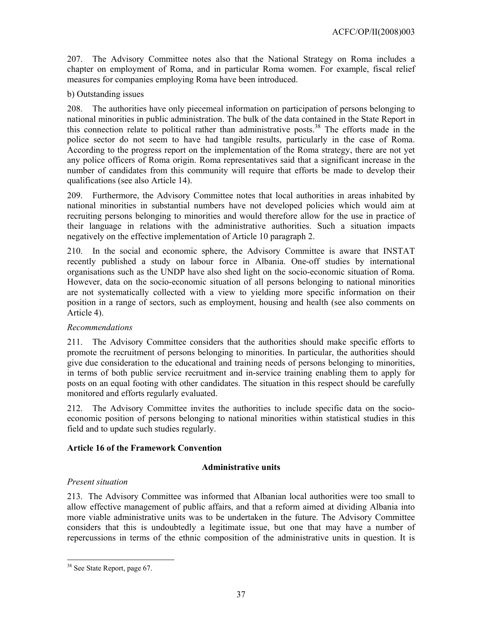207. The Advisory Committee notes also that the National Strategy on Roma includes a chapter on employment of Roma, and in particular Roma women. For example, fiscal relief measures for companies employing Roma have been introduced.

### b) Outstanding issues

208. The authorities have only piecemeal information on participation of persons belonging to national minorities in public administration. The bulk of the data contained in the State Report in this connection relate to political rather than administrative posts.<sup>38</sup> The efforts made in the police sector do not seem to have had tangible results, particularly in the case of Roma. According to the progress report on the implementation of the Roma strategy, there are not yet any police officers of Roma origin. Roma representatives said that a significant increase in the number of candidates from this community will require that efforts be made to develop their qualifications (see also Article 14).

209. Furthermore, the Advisory Committee notes that local authorities in areas inhabited by national minorities in substantial numbers have not developed policies which would aim at recruiting persons belonging to minorities and would therefore allow for the use in practice of their language in relations with the administrative authorities. Such a situation impacts negatively on the effective implementation of Article 10 paragraph 2.

210. In the social and economic sphere, the Advisory Committee is aware that INSTAT recently published a study on labour force in Albania. One-off studies by international organisations such as the UNDP have also shed light on the socio-economic situation of Roma. However, data on the socio-economic situation of all persons belonging to national minorities are not systematically collected with a view to yielding more specific information on their position in a range of sectors, such as employment, housing and health (see also comments on Article 4).

### *Recommendations*

211. The Advisory Committee considers that the authorities should make specific efforts to promote the recruitment of persons belonging to minorities. In particular, the authorities should give due consideration to the educational and training needs of persons belonging to minorities, in terms of both public service recruitment and in-service training enabling them to apply for posts on an equal footing with other candidates. The situation in this respect should be carefully monitored and efforts regularly evaluated.

212. The Advisory Committee invites the authorities to include specific data on the socioeconomic position of persons belonging to national minorities within statistical studies in this field and to update such studies regularly.

### **Article 16 of the Framework Convention**

### **Administrative units**

### *Present situation*

213. The Advisory Committee was informed that Albanian local authorities were too small to allow effective management of public affairs, and that a reform aimed at dividing Albania into more viable administrative units was to be undertaken in the future. The Advisory Committee considers that this is undoubtedly a legitimate issue, but one that may have a number of repercussions in terms of the ethnic composition of the administrative units in question. It is

 $\overline{a}$ <sup>38</sup> See State Report, page 67.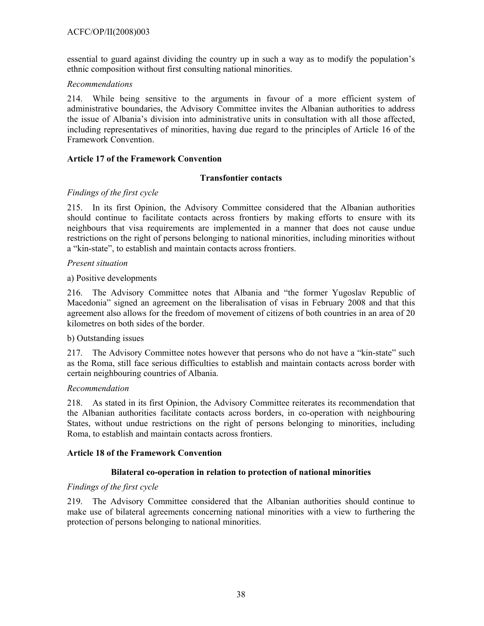### ACFC/OP/II(2008)003

essential to guard against dividing the country up in such a way as to modify the population's ethnic composition without first consulting national minorities.

#### *Recommendations*

214. While being sensitive to the arguments in favour of a more efficient system of administrative boundaries, the Advisory Committee invites the Albanian authorities to address the issue of Albania's division into administrative units in consultation with all those affected, including representatives of minorities, having due regard to the principles of Article 16 of the Framework Convention.

#### **Article 17 of the Framework Convention**

#### **Transfontier contacts**

#### *Findings of the first cycle*

215. In its first Opinion, the Advisory Committee considered that the Albanian authorities should continue to facilitate contacts across frontiers by making efforts to ensure with its neighbours that visa requirements are implemented in a manner that does not cause undue restrictions on the right of persons belonging to national minorities, including minorities without a "kin-state", to establish and maintain contacts across frontiers.

#### *Present situation*

#### a) Positive developments

216. The Advisory Committee notes that Albania and "the former Yugoslav Republic of Macedonia" signed an agreement on the liberalisation of visas in February 2008 and that this agreement also allows for the freedom of movement of citizens of both countries in an area of 20 kilometres on both sides of the border.

#### b) Outstanding issues

217. The Advisory Committee notes however that persons who do not have a "kin-state" such as the Roma, still face serious difficulties to establish and maintain contacts across border with certain neighbouring countries of Albania.

#### *Recommendation*

218. As stated in its first Opinion, the Advisory Committee reiterates its recommendation that the Albanian authorities facilitate contacts across borders, in co-operation with neighbouring States, without undue restrictions on the right of persons belonging to minorities, including Roma, to establish and maintain contacts across frontiers.

#### **Article 18 of the Framework Convention**

### **Bilateral co-operation in relation to protection of national minorities**

#### *Findings of the first cycle*

219. The Advisory Committee considered that the Albanian authorities should continue to make use of bilateral agreements concerning national minorities with a view to furthering the protection of persons belonging to national minorities.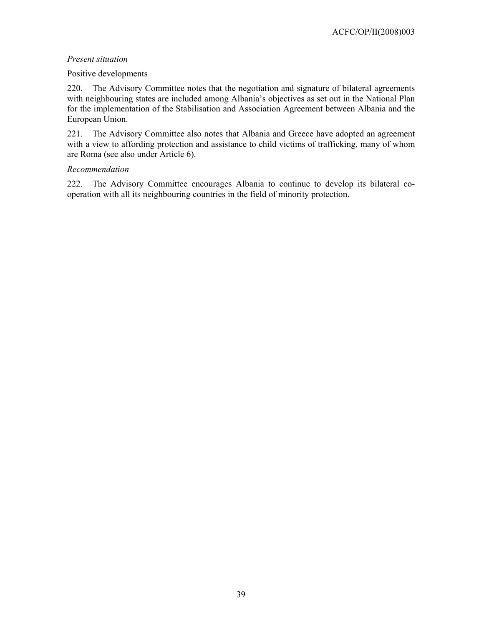### *Present situation*

#### Positive developments

220. The Advisory Committee notes that the negotiation and signature of bilateral agreements with neighbouring states are included among Albania's objectives as set out in the National Plan for the implementation of the Stabilisation and Association Agreement between Albania and the European Union.

221. The Advisory Committee also notes that Albania and Greece have adopted an agreement with a view to affording protection and assistance to child victims of trafficking, many of whom are Roma (see also under Article 6).

### *Recommendation*

222. The Advisory Committee encourages Albania to continue to develop its bilateral cooperation with all its neighbouring countries in the field of minority protection.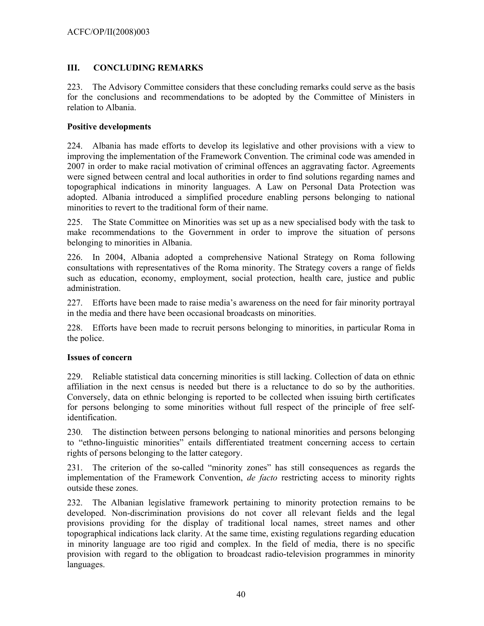### **III. CONCLUDING REMARKS**

223. The Advisory Committee considers that these concluding remarks could serve as the basis for the conclusions and recommendations to be adopted by the Committee of Ministers in relation to Albania.

#### **Positive developments**

224. Albania has made efforts to develop its legislative and other provisions with a view to improving the implementation of the Framework Convention. The criminal code was amended in 2007 in order to make racial motivation of criminal offences an aggravating factor. Agreements were signed between central and local authorities in order to find solutions regarding names and topographical indications in minority languages. A Law on Personal Data Protection was adopted. Albania introduced a simplified procedure enabling persons belonging to national minorities to revert to the traditional form of their name.

225. The State Committee on Minorities was set up as a new specialised body with the task to make recommendations to the Government in order to improve the situation of persons belonging to minorities in Albania.

226. In 2004, Albania adopted a comprehensive National Strategy on Roma following consultations with representatives of the Roma minority. The Strategy covers a range of fields such as education, economy, employment, social protection, health care, justice and public administration.

227. Efforts have been made to raise media's awareness on the need for fair minority portrayal in the media and there have been occasional broadcasts on minorities.

228. Efforts have been made to recruit persons belonging to minorities, in particular Roma in the police.

#### **Issues of concern**

229. Reliable statistical data concerning minorities is still lacking. Collection of data on ethnic affiliation in the next census is needed but there is a reluctance to do so by the authorities. Conversely, data on ethnic belonging is reported to be collected when issuing birth certificates for persons belonging to some minorities without full respect of the principle of free selfidentification.

230. The distinction between persons belonging to national minorities and persons belonging to "ethno-linguistic minorities" entails differentiated treatment concerning access to certain rights of persons belonging to the latter category.

231. The criterion of the so-called "minority zones" has still consequences as regards the implementation of the Framework Convention, *de facto* restricting access to minority rights outside these zones.

232. The Albanian legislative framework pertaining to minority protection remains to be developed. Non-discrimination provisions do not cover all relevant fields and the legal provisions providing for the display of traditional local names, street names and other topographical indications lack clarity. At the same time, existing regulations regarding education in minority language are too rigid and complex. In the field of media, there is no specific provision with regard to the obligation to broadcast radio-television programmes in minority languages.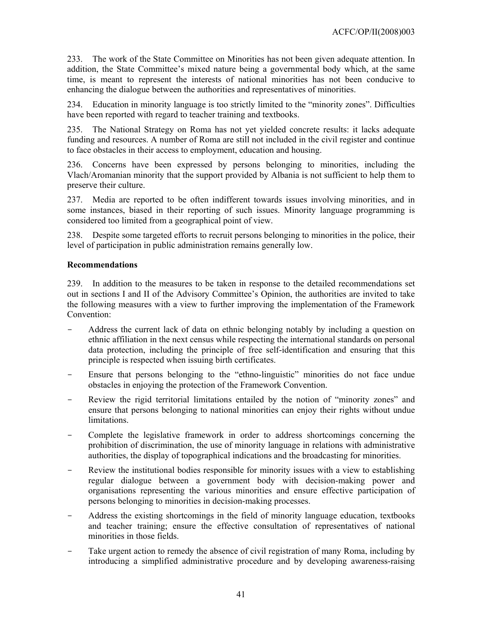233. The work of the State Committee on Minorities has not been given adequate attention. In addition, the State Committee's mixed nature being a governmental body which, at the same time, is meant to represent the interests of national minorities has not been conducive to enhancing the dialogue between the authorities and representatives of minorities.

234. Education in minority language is too strictly limited to the "minority zones". Difficulties have been reported with regard to teacher training and textbooks.

235. The National Strategy on Roma has not yet yielded concrete results: it lacks adequate funding and resources. A number of Roma are still not included in the civil register and continue to face obstacles in their access to employment, education and housing.

236. Concerns have been expressed by persons belonging to minorities, including the Vlach/Aromanian minority that the support provided by Albania is not sufficient to help them to preserve their culture.

237. Media are reported to be often indifferent towards issues involving minorities, and in some instances, biased in their reporting of such issues. Minority language programming is considered too limited from a geographical point of view.

238. Despite some targeted efforts to recruit persons belonging to minorities in the police, their level of participation in public administration remains generally low.

#### **Recommendations**

239. In addition to the measures to be taken in response to the detailed recommendations set out in sections I and II of the Advisory Committee's Opinion, the authorities are invited to take the following measures with a view to further improving the implementation of the Framework Convention:

- Address the current lack of data on ethnic belonging notably by including a question on ethnic affiliation in the next census while respecting the international standards on personal data protection, including the principle of free self-identification and ensuring that this principle is respected when issuing birth certificates.
- Ensure that persons belonging to the "ethno-linguistic" minorities do not face undue obstacles in enjoying the protection of the Framework Convention.
- Review the rigid territorial limitations entailed by the notion of "minority zones" and ensure that persons belonging to national minorities can enjoy their rights without undue limitations.
- Complete the legislative framework in order to address shortcomings concerning the prohibition of discrimination, the use of minority language in relations with administrative authorities, the display of topographical indications and the broadcasting for minorities.
- Review the institutional bodies responsible for minority issues with a view to establishing regular dialogue between a government body with decision-making power and organisations representing the various minorities and ensure effective participation of persons belonging to minorities in decision-making processes.
- Address the existing shortcomings in the field of minority language education, textbooks and teacher training; ensure the effective consultation of representatives of national minorities in those fields.
- Take urgent action to remedy the absence of civil registration of many Roma, including by introducing a simplified administrative procedure and by developing awareness-raising